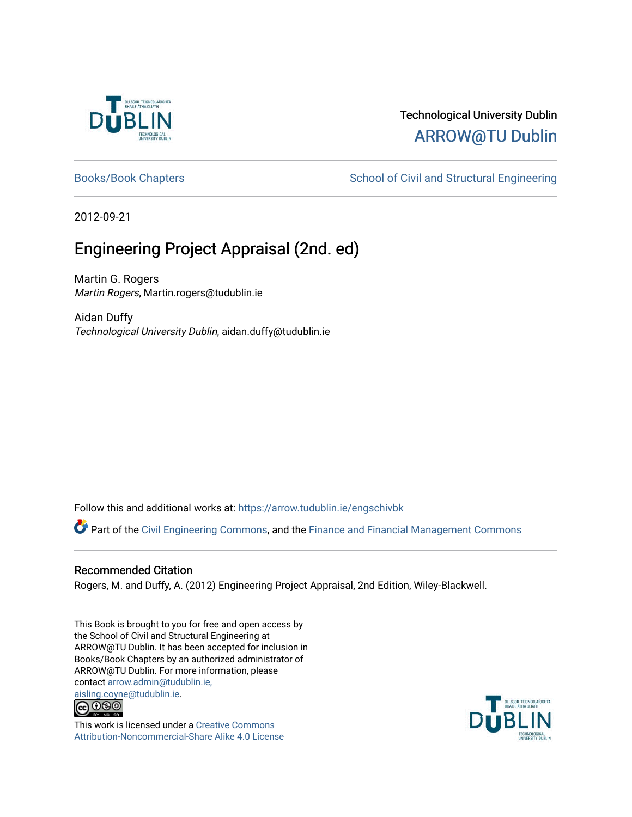

# Technological University Dublin [ARROW@TU Dublin](https://arrow.tudublin.ie/)

[Books/Book Chapters](https://arrow.tudublin.ie/engschivbk) School of Civil and Structural Engineering

2012-09-21

# Engineering Project Appraisal (2nd. ed)

Martin G. Rogers Martin Rogers, Martin.rogers@tudublin.ie

Aidan Duffy Technological University Dublin, aidan.duffy@tudublin.ie

Follow this and additional works at: [https://arrow.tudublin.ie/engschivbk](https://arrow.tudublin.ie/engschivbk?utm_source=arrow.tudublin.ie%2Fengschivbk%2F1&utm_medium=PDF&utm_campaign=PDFCoverPages)

Part of the [Civil Engineering Commons](http://network.bepress.com/hgg/discipline/252?utm_source=arrow.tudublin.ie%2Fengschivbk%2F1&utm_medium=PDF&utm_campaign=PDFCoverPages), and the Finance and Financial Management Commons

# Recommended Citation

Rogers, M. and Duffy, A. (2012) Engineering Project Appraisal, 2nd Edition, Wiley-Blackwell.

This Book is brought to you for free and open access by the School of Civil and Structural Engineering at ARROW@TU Dublin. It has been accepted for inclusion in Books/Book Chapters by an authorized administrator of ARROW@TU Dublin. For more information, please contact [arrow.admin@tudublin.ie,](mailto:arrow.admin@tudublin.ie,%20aisling.coyne@tudublin.ie)  [aisling.coyne@tudublin.ie.](mailto:arrow.admin@tudublin.ie,%20aisling.coyne@tudublin.ie)<br>© 090



This work is licensed under a [Creative Commons](http://creativecommons.org/licenses/by-nc-sa/4.0/) [Attribution-Noncommercial-Share Alike 4.0 License](http://creativecommons.org/licenses/by-nc-sa/4.0/)

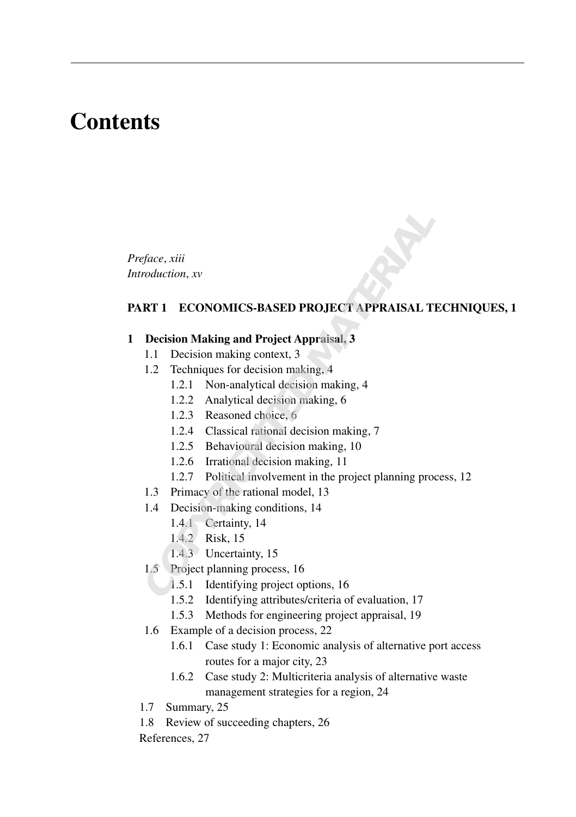# **Contents**

*Preface*, *xiii Introduction*, *xv* 

# **PART 1 ECONOMICS-BASED PROJECT APPRAISAL TECHNIQUES, 1** *Eface, xiii*<br> *Correlation, av*<br> **COPYRIGHTED PROJECT APPRAISAL T**<br> **Decision Making and Project Appraisal, 3**<br>
1.1 Decision making contexit, 3<br>
1.2 Techniques for decision making, 4<br>
1.2.1 Non-analytical decision making,

#### **1 Decision Making and Project Appraisal , 3**

- 1.1 Decision making context, 3
- 1.2 Techniques for decision making, 4
	- 1.2.1 Non-analytical decision making, 4
	- 1.2.2 Analytical decision making, 6
	- 1.2.3 Reasoned choice, 6
	- 1.2.4 Classical rational decision making, 7
	- 1.2.5 Behavioural decision making, 10
	- 1.2.6 Irrational decision making, 11
	- 1.2.7 Political involvement in the project planning process, 12
- 1.3 Primacy of the rational model, 13
- 1.4 Decision-making conditions, 14
	- 1.4.1 Certainty, 14
	- 1.4.2 Risk, 15
	- 1.4.3 Uncertainty, 15
- 1.5 Project planning process, 16
	- 1.5.1 Identifying project options, 16
	- 1.5.2 Identifying attributes/criteria of evaluation, 17
	- 1.5.3 Methods for engineering project appraisal, 19
- 1.6 Example of a decision process, 22
	- 1.6.1 Case study 1: Economic analysis of alternative port access routes for a major city, 23
	- 1.6.2 Case study 2: Multicriteria analysis of alternative waste management strategies for a region, 24
- 1.7 Summary, 25
- 1.8 Review of succeeding chapters, 26

References, 27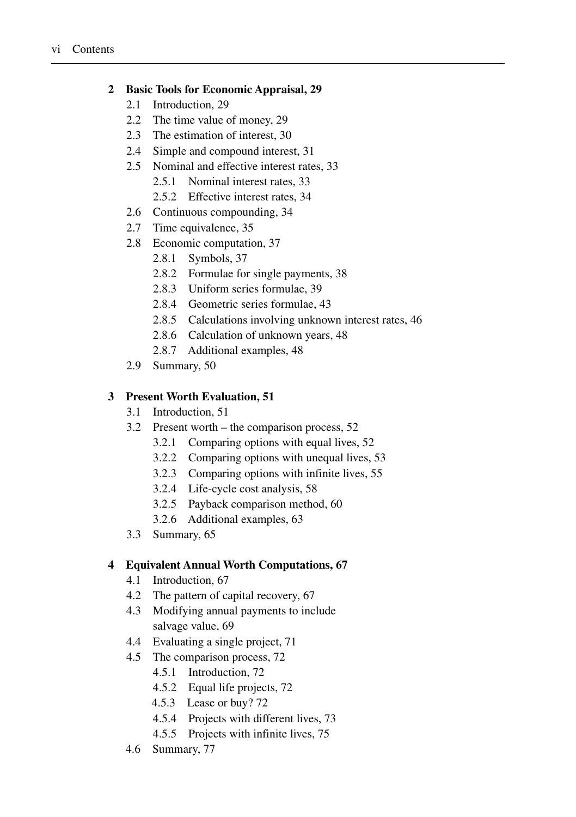#### **2 Basic Tools for Economic Appraisal , 29**

- 2.1 Introduction, 29
- 2.2 The time value of money, 29
- 2.3 The estimation of interest, 30
- 2.4 Simple and compound interest, 31
- 2.5 Nominal and effective interest rates, 33
	- 2.5.1 Nominal interest rates, 33
	- 2.5.2 Effective interest rates, 34
- 2.6 Continuous compounding, 34
- 2.7 Time equivalence, 35
- 2.8 Economic computation, 37
	- 2.8.1 Symbols, 37
	- 2.8.2 Formulae for single payments, 38
	- 2.8.3 Uniform series formulae, 39
	- 2.8.4 Geometric series formulae, 43
	- 2.8.5 Calculations involving unknown interest rates, 46
	- 2.8.6 Calculation of unknown years, 48
	- 2.8.7 Additional examples, 48
- 2.9 Summary, 50

#### **3** Present Worth Evaluation, 51

- 3.1 Introduction, 51
- 3.2 Present worth the comparison process, 52
	- 3.2.1 Comparing options with equal lives, 52
	- 3.2.2 Comparing options with unequal lives, 53
	- 3.2.3 Comparing options with infinite lives, 55
	- 3.2.4 Life-cycle cost analysis, 58
	- 3.2.5 Payback comparison method, 60
	- 3.2.6 Additional examples, 63
- 3.3 Summary, 65

#### **4 Equivalent Annual Worth Computations, 67**

- 4.1 Introduction, 67
- 4.2 The pattern of capital recovery, 67
- 4.3 Modifying annual payments to include salvage value, 69
- 4.4 Evaluating a single project, 71
- 4.5 The comparison process, 72
	- 4.5.1 Introduction, 72
	- 4.5.2 Equal life projects, 72
	- 4.5.3 Lease or buy? 72
	- 4.5.4 Projects with different lives, 73
	- 4.5.5 Projects with infinite lives, 75
- 4.6 Summary, 77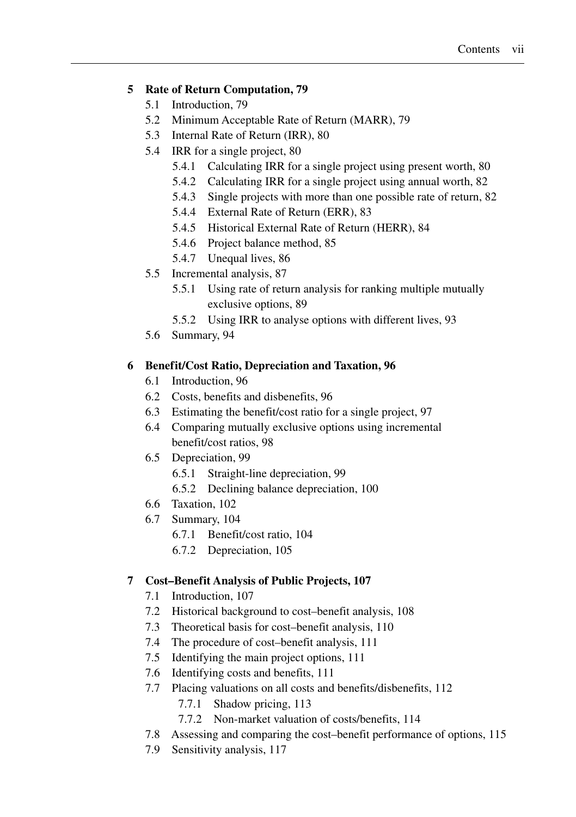#### **5 Rate of Return Computation , 79**

- 5.1 Introduction, 79
- 5.2 Minimum Acceptable Rate of Return (MARR), 79
- 5.3 Internal Rate of Return (IRR), 80
- 5.4 IRR for a single project, 80
	- 5.4.1 Calculating IRR for a single project using present worth, 80
	- 5.4.2 Calculating IRR for a single project using annual worth, 82
	- 5.4.3 Single projects with more than one possible rate of return, 82
	- 5.4.4 External Rate of Return (ERR), 83
	- 5.4.5 Historical External Rate of Return (HERR), 84
	- 5.4.6 Project balance method, 85
	- 5.4.7 Unequal lives, 86
- 5.5 Incremental analysis, 87
	- 5.5.1 Using rate of return analysis for ranking multiple mutually exclusive options, 89
	- 5.5.2 Using IRR to analyse options with different lives, 93
- 5.6 Summary, 94

#### **6 Benefit/Cost Ratio, Depreciation and Taxation , 96**

- 6.1 Introduction, 96
- 6.2 Costs, benefits and disbenefits, 96
- 6.3 Estimating the benefit/cost ratio for a single project, 97
- 6.4 Comparing mutually exclusive options using incremental benefit/cost ratios, 98
- 6.5 Depreciation, 99
	- 6.5.1 Straight-line depreciation, 99
	- 6.5.2 Declining balance depreciation, 100
- 6.6 Taxation, 102
- 6.7 Summary, 104
	- 6.7.1 Benefit/cost ratio, 104
	- 6.7.2 Depreciation, 105

#### **7 Cost–Benefit Analysis of Public Projects , 107**

- 7.1 Introduction, 107
- 7.2 Historical background to cost–benefit analysis, 108
- 7.3 Theoretical basis for cost–benefit analysis, 110
- 7.4 The procedure of cost–benefit analysis, 111
- 7.5 Identifying the main project options, 111
- 7.6 Identifying costs and benefits, 111
- 7.7 Placing valuations on all costs and benefits/disbenefits, 112
	- 7.7.1 Shadow pricing, 113
	- 7.7.2 Non-market valuation of costs/benefits, 114
- 7.8 Assessing and comparing the cost–benefit performance of options, 115
- 7.9 Sensitivity analysis, 117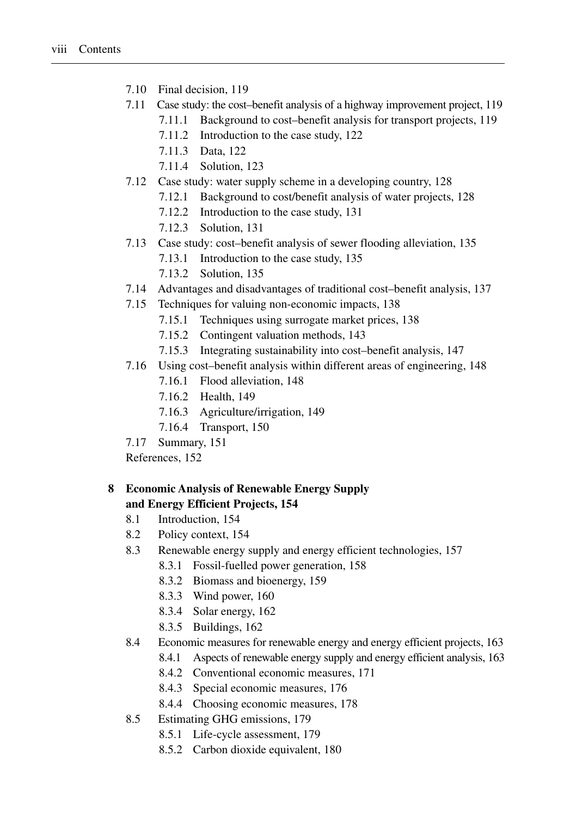- 7.10 Final decision, 119
- 7.11 Case study: the cost–benefit analysis of a highway improvement project, 119
	- 7.11.1 Background to cost–benefit analysis for transport projects, 119
	- 7.11.2 Introduction to the case study, 122
	- 7.11.3 Data, 122
	- 7.11.4 Solution, 123
- 7.12 Case study: water supply scheme in a developing country, 128
	- 7.12.1 Background to cost/benefit analysis of water projects, 128
	- 7.12.2 Introduction to the case study, 131
	- 7.12.3 Solution, 131
- 7.13 Case study: cost–benefit analysis of sewer flooding alleviation, 135
	- 7.13.1 Introduction to the case study, 135
	- 7.13.2 Solution, 135
- 7.14 Advantages and disadvantages of traditional cost–benefit analysis, 137
- 7.15 Techniques for valuing non-economic impacts, 138
	- 7.15.1 Techniques using surrogate market prices, 138
	- 7.15.2 Contingent valuation methods, 143
	- 7.15.3 Integrating sustainability into cost–benefit analysis, 147
- 7.16 Using cost–benefit analysis within different areas of engineering, 148
	- 7.16.1 Flood alleviation, 148
	- 7.16.2 Health, 149
	- 7.16.3 Agriculture/irrigation, 149
	- 7.16.4 Transport, 150
- 7.17 Summary, 151

## **8 Economic Analysis of Renewable Energy Supply and Energy Efficient Projects , 154**

- 8.1 Introduction, 154
- 8.2 Policy context, 154
- 8.3 Renewable energy supply and energy efficient technologies, 157
	- 8.3.1 Fossil-fuelled power generation, 158
	- 8.3.2 Biomass and bioenergy, 159
	- 8.3.3 Wind power, 160
	- 8.3.4 Solar energy, 162
	- 8.3.5 Buildings, 162
- 8.4 Economic measures for renewable energy and energy efficient projects, 163
	- 8.4.1 Aspects of renewable energy supply and energy efficient analysis, 163
	- 8.4.2 Conventional economic measures, 171
	- 8.4.3 Special economic measures, 176
	- 8.4.4 Choosing economic measures, 178
- 8.5 Estimating GHG emissions, 179
	- 8.5.1 Life-cycle assessment, 179
	- 8.5.2 Carbon dioxide equivalent, 180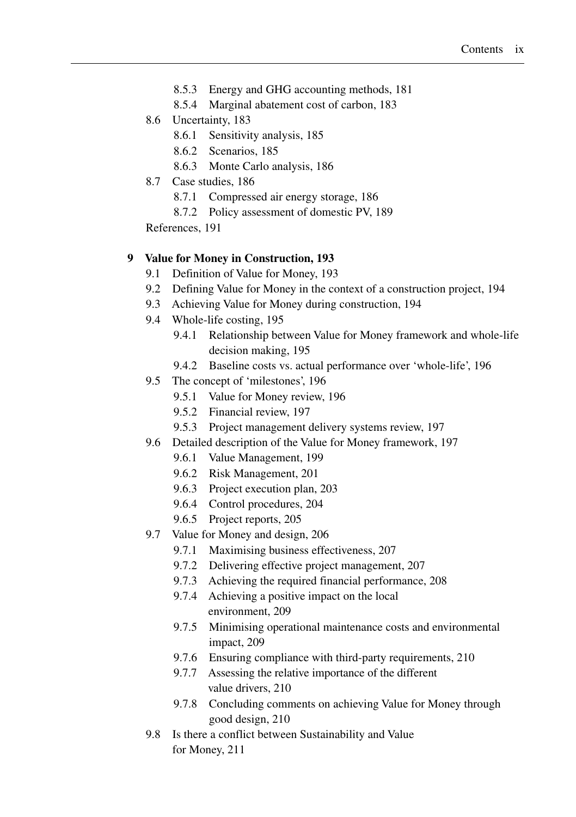- 8.5.3 Energy and GHG accounting methods, 181
- 8.5.4 Marginal abatement cost of carbon, 183
- 8.6 Uncertainty, 183
	- 8.6.1 Sensitivity analysis, 185
	- 8.6.2 Scenarios, 185
	- 8.6.3 Monte Carlo analysis, 186
- 8.7 Case studies, 186
	- 8.7.1 Compressed air energy storage, 186
	- 8.7.2 Policy assessment of domestic PV, 189

#### **9 Value for Money in Construction, 193**

- 9.1 Definition of Value for Money, 193
- 9.2 Defining Value for Money in the context of a construction project, 194
- 9.3 Achieving Value for Money during construction, 194
- 9.4 Whole-life costing, 195
	- 9.4.1 Relationship between Value for Money framework and whole-life decision making, 195
	- 9.4.2 Baseline costs vs. actual performance over 'whole-life', 196
- 9.5 The concept of 'milestones', 196
	- 9.5.1 Value for Money review, 196
	- 9.5.2 Financial review, 197
	- 9.5.3 Project management delivery systems review, 197
- 9.6 Detailed description of the Value for Money framework, 197
	- 9.6.1 Value Management, 199
	- 9.6.2 Risk Management, 201
	- 9.6.3 Project execution plan, 203
	- 9.6.4 Control procedures, 204
	- 9.6.5 Project reports, 205
- 9.7 Value for Money and design, 206
	- 9.7.1 Maximising business effectiveness, 207
	- 9.7.2 Delivering effective project management, 207
	- 9.7.3 Achieving the required financial performance, 208
	- 9.7.4 Achieving a positive impact on the local environment, 209
	- 9.7.5 Minimising operational maintenance costs and environmental impact, 209
	- 9.7.6 Ensuring compliance with third-party requirements, 210
	- 9.7.7 Assessing the relative importance of the different value drivers, 210
	- 9.7.8 Concluding comments on achieving Value for Money through good design, 210
- 9.8 Is there a conflict between Sustainability and Value for Money, 211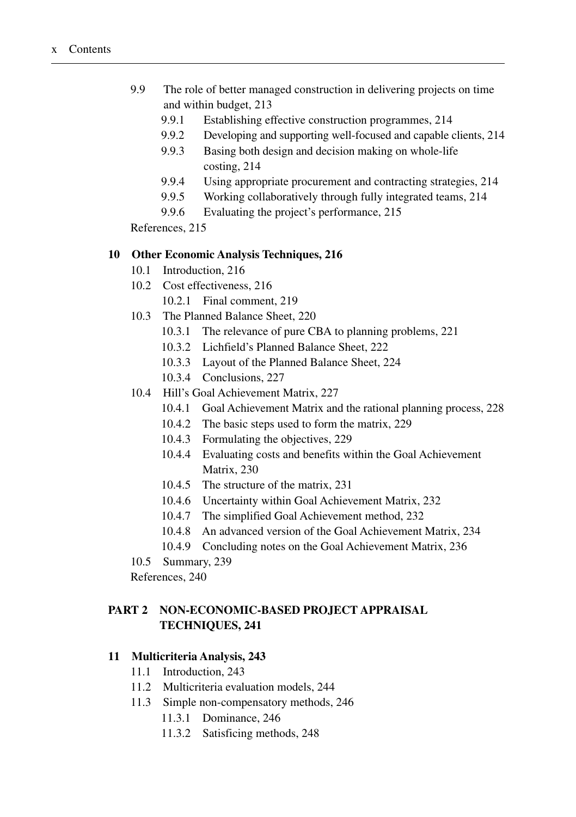- 9.9 The role of better managed construction in delivering projects on time and within budget, 213
	- 9.9.1 Establishing effective construction programmes, 214
	- 9.9.2 Developing and supporting well-focused and capable clients, 214
	- 9.9.3 Basing both design and decision making on whole-life costing, 214
	- 9.9.4 Using appropriate procurement and contracting strategies, 214
	- 9.9.5 Working collaboratively through fully integrated teams, 214
	- 9.9.6 Evaluating the project's performance, 215

#### 10 Other Economic Analysis Techniques, 216

- 10.1 Introduction, 216
- 10.2 Cost effectiveness, 216
	- 10.2.1 Final comment, 219
- 10.3 The Planned Balance Sheet, 220
	- 10.3.1 The relevance of pure CBA to planning problems, 221
	- 10.3.2 Lichfield's Planned Balance Sheet, 222
	- 10.3.3 Layout of the Planned Balance Sheet, 224
	- 10.3.4 Conclusions, 227
- 10.4 Hill's Goal Achievement Matrix, 227
	- 10.4.1 Goal Achievement Matrix and the rational planning process, 228
	- 10.4.2 The basic steps used to form the matrix, 229
	- 10.4.3 Formulating the objectives, 229
	- 10.4.4 Evaluating costs and benefits within the Goal Achievement Matrix, 230
	- 10.4.5 The structure of the matrix, 231
	- 10.4.6 Uncertainty within Goal Achievement Matrix, 232
	- 10.4.7 The simplified Goal Achievement method, 232
	- 10.4.8 An advanced version of the Goal Achievement Matrix, 234
	- 10.4.9 Concluding notes on the Goal Achievement Matrix, 236
- 10.5 Summary, 239

References, 240

# **PART 2 NON-ECONOMIC-BASED PROJECT APPRAISAL TECHNIQUES , 241**

#### 11 Multicriteria Analysis, 243

- 11.1 Introduction, 243
- 11.2 Multicriteria evaluation models, 244
- 11.3 Simple non-compensatory methods, 246
	- 11.3.1 Dominance, 246
	- 11.3.2 Satisficing methods, 248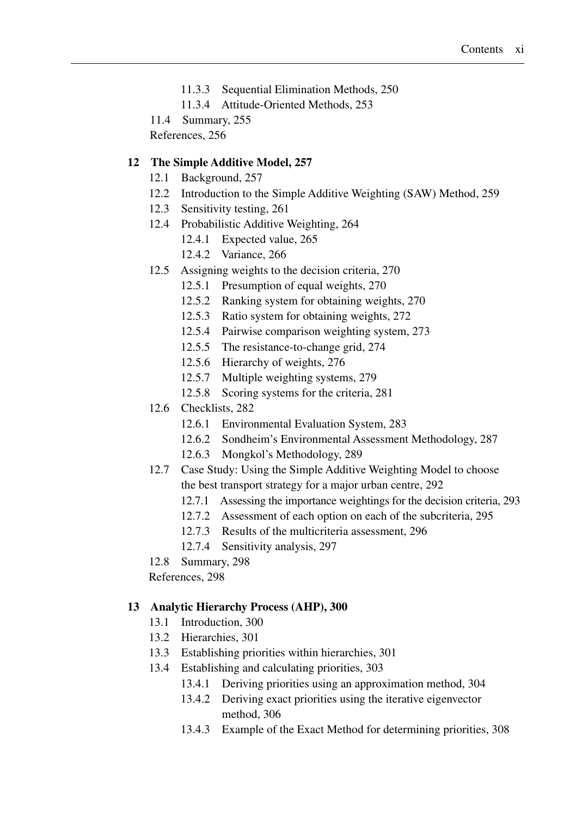- 11.3.3 Sequential Elimination Methods, 250
- 11.3.4 Attitude-Oriented Methods, 253
- 11.4 Summary, 255

#### 12 The Simple Additive Model, 257

- 12.1 Background, 257
- 12.2 Introduction to the Simple Additive Weighting (SAW) Method, 259
- 12.3 Sensitivity testing, 261
- 12.4 Probabilistic Additive Weighting, 264
	- 12.4.1 Expected value, 265
	- 12.4.2 Variance, 266
- 12.5 Assigning weights to the decision criteria, 270
	- 12.5.1 Presumption of equal weights, 270
	- 12.5.2 Ranking system for obtaining weights, 270
	- 12.5.3 Ratio system for obtaining weights, 272
	- 12.5.4 Pairwise comparison weighting system, 273
	- 12.5.5 The resistance-to-change grid, 274
	- 12.5.6 Hierarchy of weights, 276
	- 12.5.7 Multiple weighting systems, 279
	- 12.5.8 Scoring systems for the criteria, 281
- 12.6 Checklists, 282
	- 12.6.1 Environmental Evaluation System, 283
	- 12.6.2 Sondheim's Environmental Assessment Methodology, 287
	- 12.6.3 Mongkol's Methodology, 289
- 12.7 Case Study: Using the Simple Additive Weighting Model to choose the best transport strategy for a major urban centre, 292
	- 12.7.1 Assessing the importance weightings for the decision criteria, 293
	- 12.7.2 Assessment of each option on each of the subcriteria, 295
	- 12.7.3 Results of the multicriteria assessment, 296
	- 12.7.4 Sensitivity analysis, 297
- 12.8 Summary, 298

References, 298

#### 13 Analytic Hierarchy Process (AHP), 300

- 13.1 Introduction, 300
- 13.2 Hierarchies, 301
- 13.3 Establishing priorities within hierarchies, 301
- 13.4 Establishing and calculating priorities, 303
	- 13.4.1 Deriving priorities using an approximation method, 304
	- 13.4.2 Deriving exact priorities using the iterative eigenvector method, 306
	- 13.4.3 Example of the Exact Method for determining priorities, 308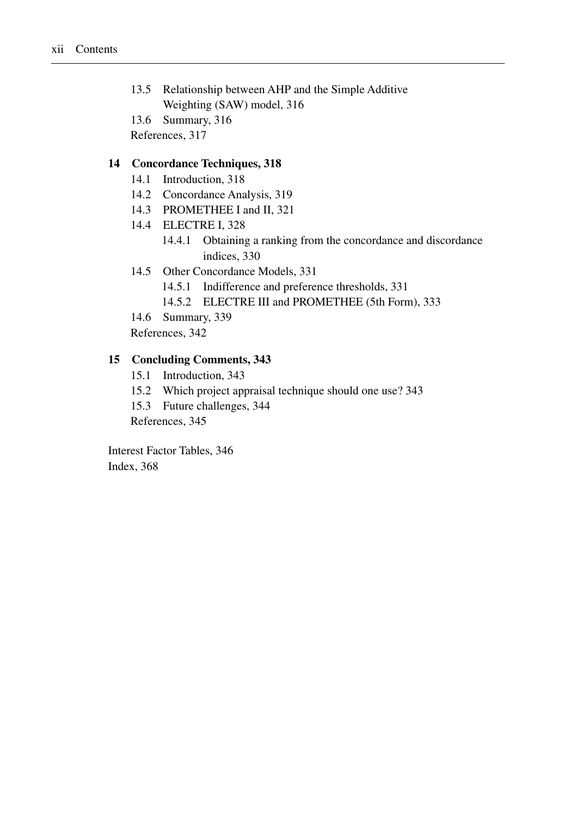13.5 Relationship between AHP and the Simple Additive Weighting (SAW) model, 316

13.6 Summary, 316

References, 317

#### 14 Concordance Techniques, 318

- 14.1 Introduction, 318
- 14.2 Concordance Analysis, 319
- 14.3 PROMETHEE I and II, 321
- 14.4 ELECTRE I, 328
	- 14.4.1 Obtaining a ranking from the concordance and discordance indices, 330
- 14.5 Other Concordance Models, 331
	- 14.5.1 Indifference and preference thresholds, 331
	- 14.5.2 ELECTRE III and PROMETHEE (5th Form), 333
- 14.6 Summary, 339

References, 342

#### 15 Concluding Comments, 343

- 15.1 Introduction, 343
- 15.2 Which project appraisal technique should one use? 343

15.3 Future challenges, 344

References, 345

 Interest Factor Tables, 346 Index, 368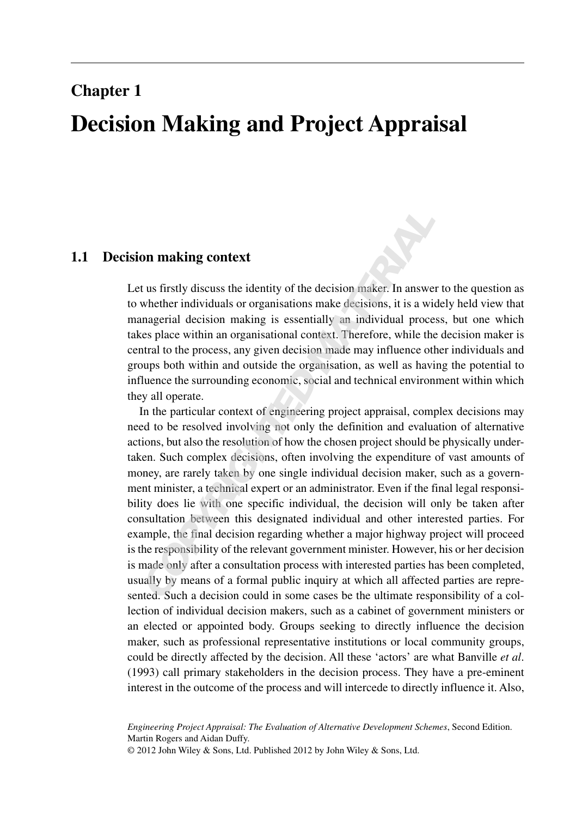# **Chapter 1 Decision Making and Project Appraisal**

#### **1.1 Decision making context**

 Let us firstly discuss the identity of the decision maker. In answer to the question as to whether individuals or organisations make decisions, it is a widely held view that managerial decision making is essentially an individual process, but one which takes place within an organisational context. Therefore, while the decision maker is central to the process, any given decision made may influence other individuals and groups both within and outside the organisation, as well as having the potential to influence the surrounding economic, social and technical environment within which they all operate.

 In the particular context of engineering project appraisal, complex decisions may need to be resolved involving not only the definition and evaluation of alternative actions, but also the resolution of how the chosen project should be physically undertaken. Such complex decisions, often involving the expenditure of vast amounts of money, are rarely taken by one single individual decision maker, such as a government minister, a technical expert or an administrator. Even if the final legal responsibility does lie with one specific individual, the decision will only be taken after consultation between this designated individual and other interested parties. For example, the final decision regarding whether a major highway project will proceed is the responsibility of the relevant government minister. However, his or her decision is made only after a consultation process with interested parties has been completed, usually by means of a formal public inquiry at which all affected parties are represented. Such a decision could in some cases be the ultimate responsibility of a collection of individual decision makers, such as a cabinet of government ministers or an elected or appointed body. Groups seeking to directly influence the decision maker, such as professional representative institutions or local community groups, could be directly affected by the decision. All these 'actors' are what Banville *et al* . (1993) call primary stakeholders in the decision process. They have a pre-eminent interest in the outcome of the process and will intercede to directly influence it. Also, **On making context**<br>
tus firstly discuss the identity of the decision maker. In answe<br>
whether individuals or organisations make decisions, it is a wi<br>
a magerial decision making is essentially an individual proces<br>
respla

*Engineering Project Appraisal: The Evaluation of Alternative Development Schemes*, Second Edition. Martin Rogers and Aidan Duffy. © 2012 John Wiley & Sons, Ltd. Published 2012 by John Wiley & Sons, Ltd.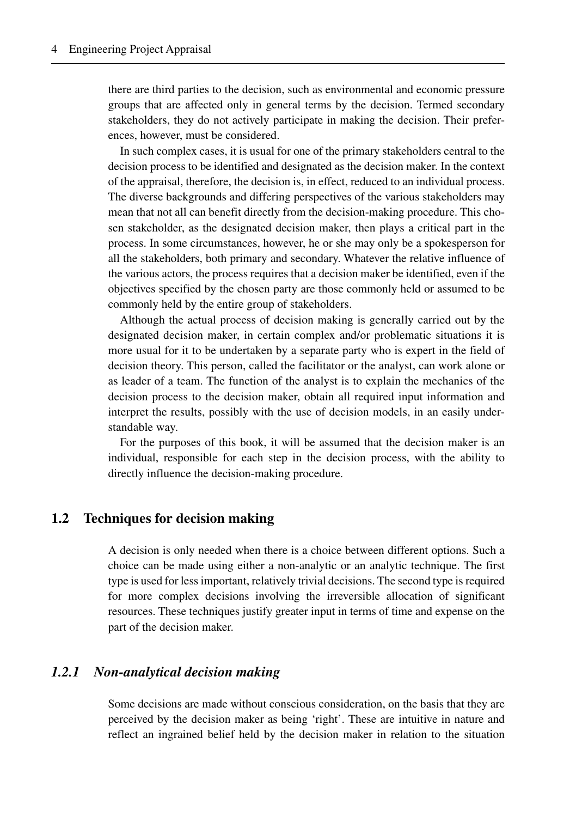there are third parties to the decision, such as environmental and economic pressure groups that are affected only in general terms by the decision. Termed secondary stakeholders, they do not actively participate in making the decision. Their preferences, however, must be considered.

 In such complex cases, it is usual for one of the primary stakeholders central to the decision process to be identified and designated as the decision maker. In the context of the appraisal, therefore, the decision is, in effect, reduced to an individual process. The diverse backgrounds and differing perspectives of the various stakeholders may mean that not all can benefit directly from the decision-making procedure. This chosen stakeholder, as the designated decision maker, then plays a critical part in the process. In some circumstances, however, he or she may only be a spokesperson for all the stakeholders, both primary and secondary. Whatever the relative influence of the various actors, the process requires that a decision maker be identified, even if the objectives specified by the chosen party are those commonly held or assumed to be commonly held by the entire group of stakeholders.

 Although the actual process of decision making is generally carried out by the designated decision maker, in certain complex and/or problematic situations it is more usual for it to be undertaken by a separate party who is expert in the field of decision theory. This person, called the facilitator or the analyst, can work alone or as leader of a team. The function of the analyst is to explain the mechanics of the decision process to the decision maker, obtain all required input information and interpret the results, possibly with the use of decision models, in an easily understandable way.

 For the purposes of this book, it will be assumed that the decision maker is an individual, responsible for each step in the decision process, with the ability to directly influence the decision-making procedure.

# **1.2 Techniques for decision making**

 A decision is only needed when there is a choice between different options. Such a choice can be made using either a non-analytic or an analytic technique. The first type is used for less important, relatively trivial decisions. The second type is required for more complex decisions involving the irreversible allocation of significant resources. These techniques justify greater input in terms of time and expense on the part of the decision maker.

# *1.2.1 Non-analytical decision making*

 Some decisions are made without conscious consideration, on the basis that they are perceived by the decision maker as being 'right'. These are intuitive in nature and reflect an ingrained belief held by the decision maker in relation to the situation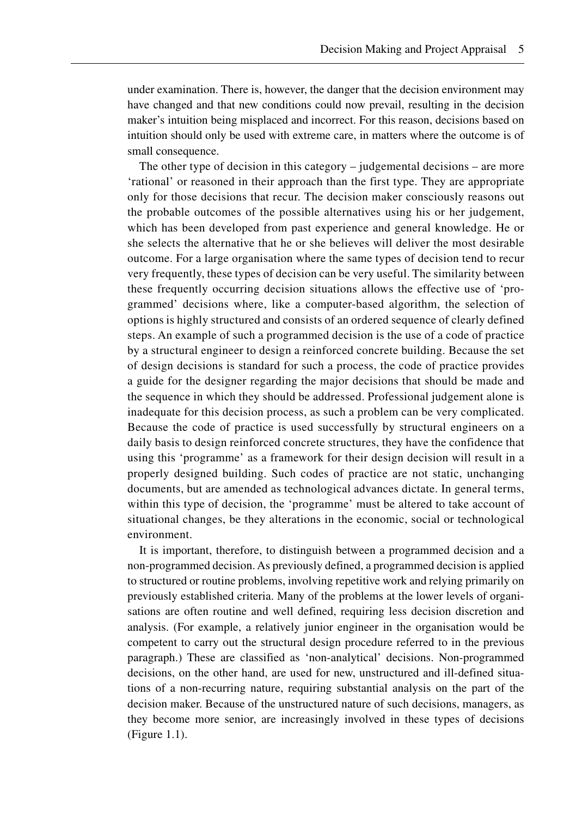under examination. There is, however, the danger that the decision environment may have changed and that new conditions could now prevail, resulting in the decision maker's intuition being misplaced and incorrect. For this reason, decisions based on intuition should only be used with extreme care, in matters where the outcome is of small consequence.

 The other type of decision in this category – judgemental decisions – are more 'rational' or reasoned in their approach than the first type. They are appropriate only for those decisions that recur. The decision maker consciously reasons out the probable outcomes of the possible alternatives using his or her judgement, which has been developed from past experience and general knowledge. He or she selects the alternative that he or she believes will deliver the most desirable outcome. For a large organisation where the same types of decision tend to recur very frequently, these types of decision can be very useful. The similarity between these frequently occurring decision situations allows the effective use of 'programmed' decisions where, like a computer-based algorithm, the selection of options is highly structured and consists of an ordered sequence of clearly defined steps. An example of such a programmed decision is the use of a code of practice by a structural engineer to design a reinforced concrete building. Because the set of design decisions is standard for such a process, the code of practice provides a guide for the designer regarding the major decisions that should be made and the sequence in which they should be addressed. Professional judgement alone is inadequate for this decision process, as such a problem can be very complicated. Because the code of practice is used successfully by structural engineers on a daily basis to design reinforced concrete structures, they have the confidence that using this 'programme' as a framework for their design decision will result in a properly designed building. Such codes of practice are not static, unchanging documents, but are amended as technological advances dictate. In general terms, within this type of decision, the 'programme' must be altered to take account of situational changes, be they alterations in the economic, social or technological environment.

 It is important, therefore, to distinguish between a programmed decision and a non-programmed decision. As previously defined, a programmed decision is applied to structured or routine problems, involving repetitive work and relying primarily on previously established criteria. Many of the problems at the lower levels of organisations are often routine and well defined, requiring less decision discretion and analysis. (For example, a relatively junior engineer in the organisation would be competent to carry out the structural design procedure referred to in the previous paragraph.) These are classified as 'non-analytical' decisions. Non-programmed decisions, on the other hand, are used for new, unstructured and ill-defined situations of a non-recurring nature, requiring substantial analysis on the part of the decision maker. Because of the unstructured nature of such decisions, managers, as they become more senior, are increasingly involved in these types of decisions  $(Figure 1.1)$ .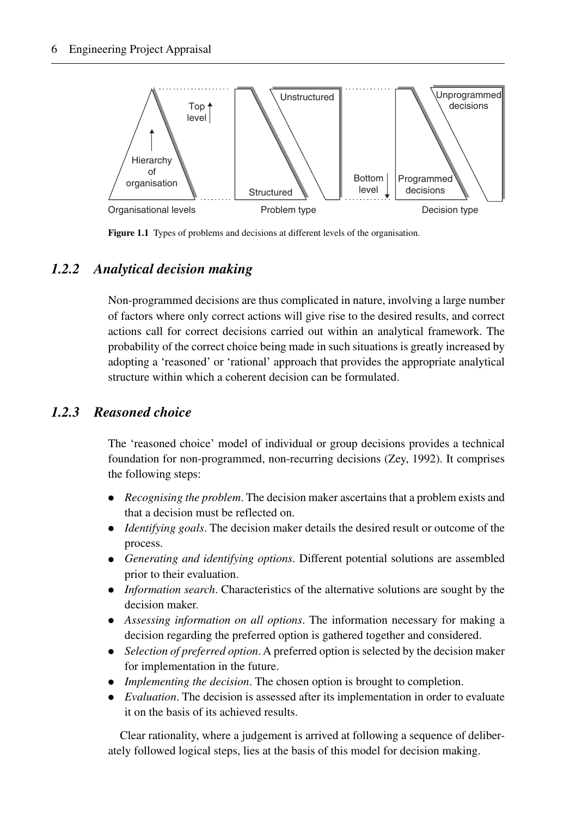

 **Figure 1.1** Types of problems and decisions at different levels of the organisation.

# *1.2.2 Analytical decision making*

 Non-programmed decisions are thus complicated in nature, involving a large number of factors where only correct actions will give rise to the desired results, and correct actions call for correct decisions carried out within an analytical framework. The probability of the correct choice being made in such situations is greatly increased by adopting a 'reasoned' or 'rational' approach that provides the appropriate analytical structure within which a coherent decision can be formulated.

# *1.2.3 Reasoned choice*

 The 'reasoned choice' model of individual or group decisions provides a technical foundation for non-programmed, non-recurring decisions (Zey, 1992). It comprises the following steps:

- *Recognising the problem*. The decision maker ascertains that a problem exists and that a decision must be reflected on.
- *Identifying goals* . The decision maker details the desired result or outcome of the process.
- *Generating and identifying options* . Different potential solutions are assembled prior to their evaluation.
- *Information search* . Characteristics of the alternative solutions are sought by the decision maker.
- *Assessing information on all options* . The information necessary for making a decision regarding the preferred option is gathered together and considered.
- Selection of preferred option. A preferred option is selected by the decision maker for implementation in the future.
- *Implementing the decision* . The chosen option is brought to completion.
- *Evaluation*. The decision is assessed after its implementation in order to evaluate it on the basis of its achieved results.

 Clear rationality, where a judgement is arrived at following a sequence of deliberately followed logical steps, lies at the basis of this model for decision making.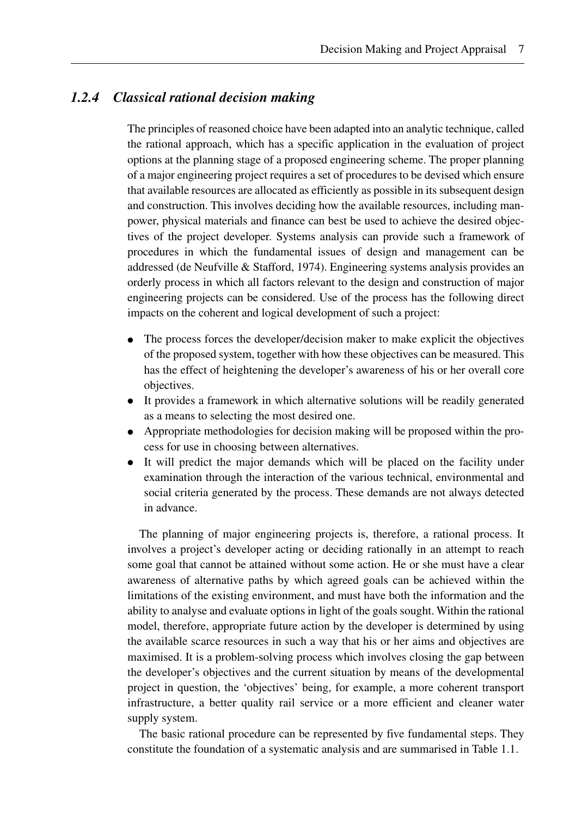# *1.2.4 Classical rational decision making*

 The principles of reasoned choice have been adapted into an analytic technique, called the rational approach, which has a specific application in the evaluation of project options at the planning stage of a proposed engineering scheme. The proper planning of a major engineering project requires a set of procedures to be devised which ensure that available resources are allocated as efficiently as possible in its subsequent design and construction. This involves deciding how the available resources, including manpower, physical materials and finance can best be used to achieve the desired objectives of the project developer. Systems analysis can provide such a framework of procedures in which the fundamental issues of design and management can be addressed (de Neufville & Stafford, 1974). Engineering systems analysis provides an orderly process in which all factors relevant to the design and construction of major engineering projects can be considered. Use of the process has the following direct impacts on the coherent and logical development of such a project:

- $\bullet$  The process forces the developer/decision maker to make explicit the objectives of the proposed system, together with how these objectives can be measured. This has the effect of heightening the developer's awareness of his or her overall core objectives.
- It provides a framework in which alternative solutions will be readily generated as a means to selecting the most desired one.
- Appropriate methodologies for decision making will be proposed within the process for use in choosing between alternatives.
- It will predict the major demands which will be placed on the facility under examination through the interaction of the various technical, environmental and social criteria generated by the process. These demands are not always detected in advance.

 The planning of major engineering projects is, therefore, a rational process. It involves a project's developer acting or deciding rationally in an attempt to reach some goal that cannot be attained without some action. He or she must have a clear awareness of alternative paths by which agreed goals can be achieved within the limitations of the existing environment, and must have both the information and the ability to analyse and evaluate options in light of the goals sought. Within the rational model, therefore, appropriate future action by the developer is determined by using the available scarce resources in such a way that his or her aims and objectives are maximised. It is a problem-solving process which involves closing the gap between the developer's objectives and the current situation by means of the developmental project in question, the 'objectives' being, for example, a more coherent transport infrastructure, a better quality rail service or a more efficient and cleaner water supply system.

 The basic rational procedure can be represented by five fundamental steps. They constitute the foundation of a systematic analysis and are summarised in Table 1.1 .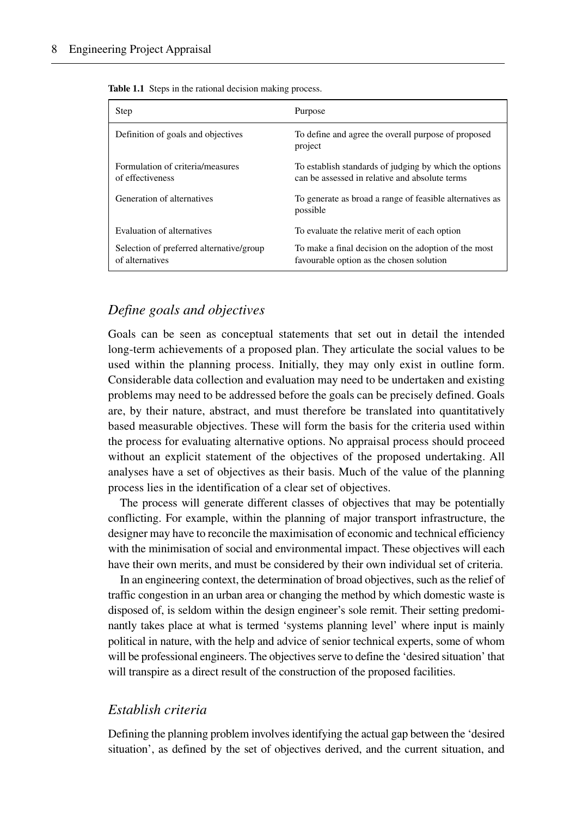| Step                                                        | Purpose                                                                                                  |
|-------------------------------------------------------------|----------------------------------------------------------------------------------------------------------|
| Definition of goals and objectives                          | To define and agree the overall purpose of proposed<br>project                                           |
| Formulation of criteria/measures<br>of effectiveness        | To establish standards of judging by which the options<br>can be assessed in relative and absolute terms |
| Generation of alternatives                                  | To generate as broad a range of feasible alternatives as<br>possible                                     |
| Evaluation of alternatives                                  | To evaluate the relative merit of each option                                                            |
| Selection of preferred alternative/group<br>of alternatives | To make a final decision on the adoption of the most<br>favourable option as the chosen solution         |

 **Table 1.1** Steps in the rational decision making process.

#### *Define goals and objectives*

 Goals can be seen as conceptual statements that set out in detail the intended long-term achievements of a proposed plan. They articulate the social values to be used within the planning process. Initially, they may only exist in outline form. Considerable data collection and evaluation may need to be undertaken and existing problems may need to be addressed before the goals can be precisely defined. Goals are, by their nature, abstract, and must therefore be translated into quantitatively based measurable objectives. These will form the basis for the criteria used within the process for evaluating alternative options. No appraisal process should proceed without an explicit statement of the objectives of the proposed undertaking. All analyses have a set of objectives as their basis. Much of the value of the planning process lies in the identification of a clear set of objectives.

 The process will generate different classes of objectives that may be potentially conflicting. For example, within the planning of major transport infrastructure, the designer may have to reconcile the maximisation of economic and technical efficiency with the minimisation of social and environmental impact. These objectives will each have their own merits, and must be considered by their own individual set of criteria.

 In an engineering context, the determination of broad objectives, such as the relief of traffic congestion in an urban area or changing the method by which domestic waste is disposed of, is seldom within the design engineer's sole remit. Their setting predominantly takes place at what is termed 'systems planning level' where input is mainly political in nature, with the help and advice of senior technical experts, some of whom will be professional engineers. The objectives serve to define the 'desired situation' that will transpire as a direct result of the construction of the proposed facilities.

#### *Establish criteria*

 Defining the planning problem involves identifying the actual gap between the 'desired situation', as defined by the set of objectives derived, and the current situation, and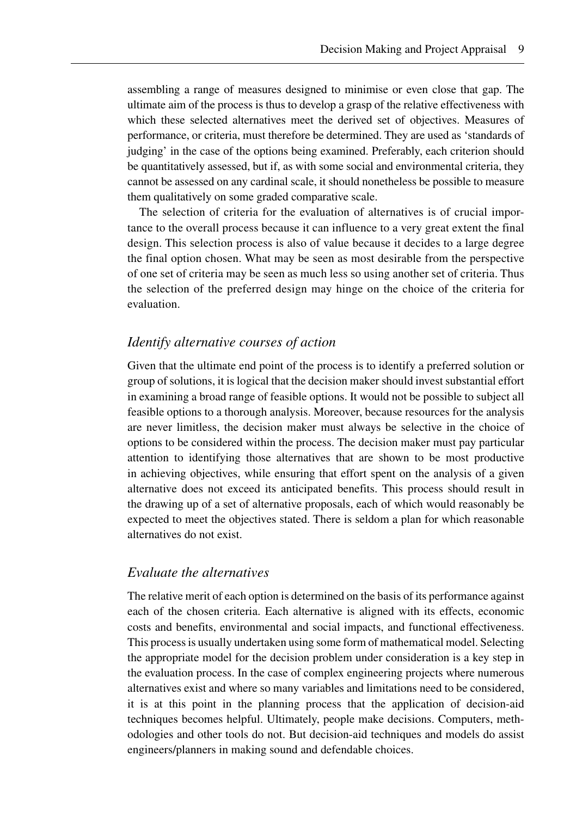assembling a range of measures designed to minimise or even close that gap. The ultimate aim of the process is thus to develop a grasp of the relative effectiveness with which these selected alternatives meet the derived set of objectives. Measures of performance, or criteria, must therefore be determined. They are used as 'standards of judging' in the case of the options being examined. Preferably, each criterion should be quantitatively assessed, but if, as with some social and environmental criteria, they cannot be assessed on any cardinal scale, it should nonetheless be possible to measure them qualitatively on some graded comparative scale.

 The selection of criteria for the evaluation of alternatives is of crucial importance to the overall process because it can influence to a very great extent the final design. This selection process is also of value because it decides to a large degree the final option chosen. What may be seen as most desirable from the perspective of one set of criteria may be seen as much less so using another set of criteria. Thus the selection of the preferred design may hinge on the choice of the criteria for evaluation.

#### *Identify alternative courses of action*

 Given that the ultimate end point of the process is to identify a preferred solution or group of solutions, it is logical that the decision maker should invest substantial effort in examining a broad range of feasible options. It would not be possible to subject all feasible options to a thorough analysis. Moreover, because resources for the analysis are never limitless, the decision maker must always be selective in the choice of options to be considered within the process. The decision maker must pay particular attention to identifying those alternatives that are shown to be most productive in achieving objectives, while ensuring that effort spent on the analysis of a given alternative does not exceed its anticipated benefits. This process should result in the drawing up of a set of alternative proposals, each of which would reasonably be expected to meet the objectives stated. There is seldom a plan for which reasonable alternatives do not exist.

# *Evaluate the alternatives*

 The relative merit of each option is determined on the basis of its performance against each of the chosen criteria. Each alternative is aligned with its effects, economic costs and benefits, environmental and social impacts, and functional effectiveness. This process is usually undertaken using some form of mathematical model. Selecting the appropriate model for the decision problem under consideration is a key step in the evaluation process. In the case of complex engineering projects where numerous alternatives exist and where so many variables and limitations need to be considered, it is at this point in the planning process that the application of decision-aid techniques becomes helpful. Ultimately, people make decisions. Computers, methodologies and other tools do not. But decision-aid techniques and models do assist engineers/planners in making sound and defendable choices.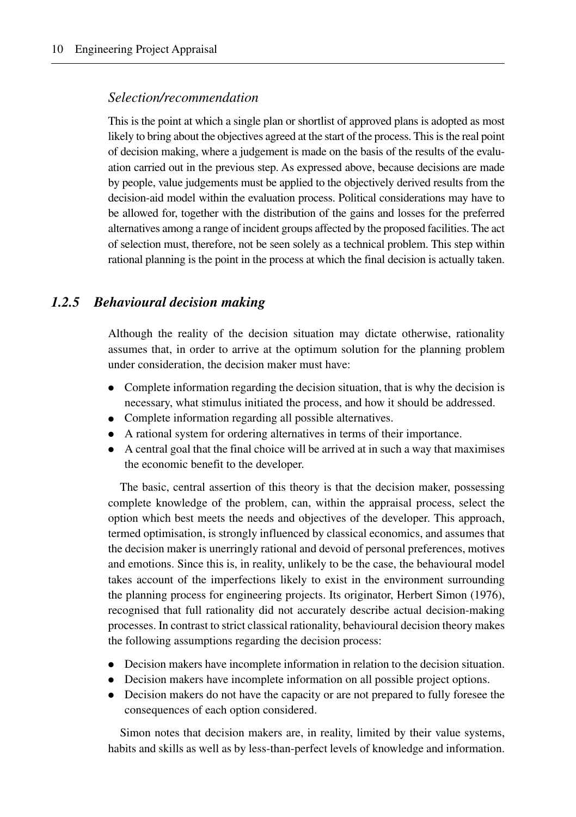## *Selection/recommendation*

 This is the point at which a single plan or shortlist of approved plans is adopted as most likely to bring about the objectives agreed at the start of the process. This is the real point of decision making, where a judgement is made on the basis of the results of the evaluation carried out in the previous step. As expressed above, because decisions are made by people, value judgements must be applied to the objectively derived results from the decision-aid model within the evaluation process. Political considerations may have to be allowed for, together with the distribution of the gains and losses for the preferred alternatives among a range of incident groups affected by the proposed facilities. The act of selection must, therefore, not be seen solely as a technical problem. This step within rational planning is the point in the process at which the final decision is actually taken.

# *1.2.5 Behavioural decision making*

 Although the reality of the decision situation may dictate otherwise, rationality assumes that, in order to arrive at the optimum solution for the planning problem under consideration, the decision maker must have:

- Complete information regarding the decision situation, that is why the decision is necessary, what stimulus initiated the process, and how it should be addressed.
- Complete information regarding all possible alternatives.
- A rational system for ordering alternatives in terms of their importance.
- A central goal that the final choice will be arrived at in such a way that maximises the economic benefit to the developer.

 The basic, central assertion of this theory is that the decision maker, possessing complete knowledge of the problem, can, within the appraisal process, select the option which best meets the needs and objectives of the developer. This approach, termed optimisation, is strongly influenced by classical economics, and assumes that the decision maker is unerringly rational and devoid of personal preferences, motives and emotions. Since this is, in reality, unlikely to be the case, the behavioural model takes account of the imperfections likely to exist in the environment surrounding the planning process for engineering projects. Its originator, Herbert Simon (1976), recognised that full rationality did not accurately describe actual decision-making processes. In contrast to strict classical rationality, behavioural decision theory makes the following assumptions regarding the decision process:

- Decision makers have incomplete information in relation to the decision situation.
- Decision makers have incomplete information on all possible project options.
- Decision makers do not have the capacity or are not prepared to fully foresee the consequences of each option considered.

 Simon notes that decision makers are, in reality, limited by their value systems, habits and skills as well as by less-than-perfect levels of knowledge and information.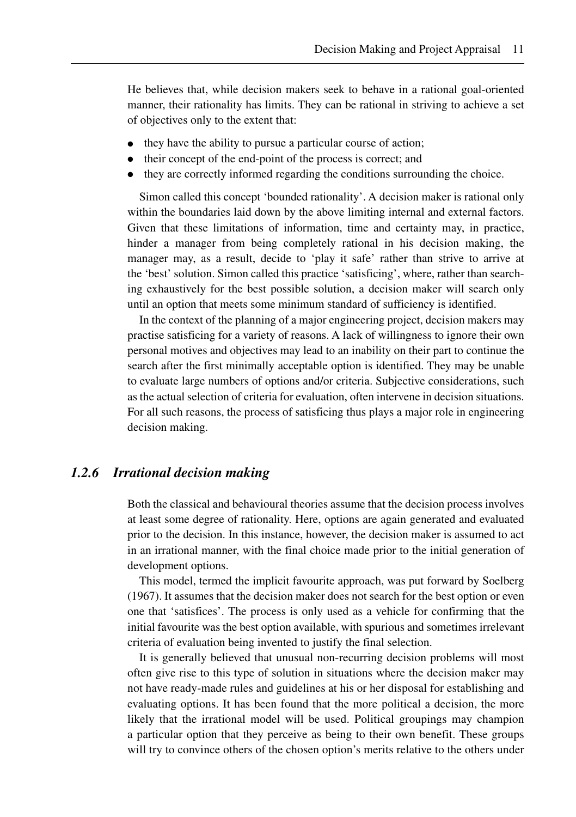He believes that, while decision makers seek to behave in a rational goal-oriented manner, their rationality has limits. They can be rational in striving to achieve a set of objectives only to the extent that:

- $\bullet$ they have the ability to pursue a particular course of action;
- $\bullet$ their concept of the end-point of the process is correct; and
- $\bullet$ they are correctly informed regarding the conditions surrounding the choice.

 Simon called this concept 'bounded rationality'. A decision maker is rational only within the boundaries laid down by the above limiting internal and external factors. Given that these limitations of information, time and certainty may, in practice, hinder a manager from being completely rational in his decision making, the manager may, as a result, decide to 'play it safe' rather than strive to arrive at the 'best' solution. Simon called this practice 'satisficing', where, rather than searching exhaustively for the best possible solution, a decision maker will search only until an option that meets some minimum standard of sufficiency is identified.

 In the context of the planning of a major engineering project, decision makers may practise satisficing for a variety of reasons. A lack of willingness to ignore their own personal motives and objectives may lead to an inability on their part to continue the search after the first minimally acceptable option is identified. They may be unable to evaluate large numbers of options and/or criteria. Subjective considerations, such as the actual selection of criteria for evaluation, often intervene in decision situations. For all such reasons, the process of satisficing thus plays a major role in engineering decision making.

# *1.2.6 Irrational decision making*

 Both the classical and behavioural theories assume that the decision process involves at least some degree of rationality. Here, options are again generated and evaluated prior to the decision. In this instance, however, the decision maker is assumed to act in an irrational manner, with the final choice made prior to the initial generation of development options.

 This model, termed the implicit favourite approach, was put forward by Soelberg (1967). It assumes that the decision maker does not search for the best option or even one that 'satisfices'. The process is only used as a vehicle for confirming that the initial favourite was the best option available, with spurious and sometimes irrelevant criteria of evaluation being invented to justify the final selection.

 It is generally believed that unusual non-recurring decision problems will most often give rise to this type of solution in situations where the decision maker may not have ready-made rules and guidelines at his or her disposal for establishing and evaluating options. It has been found that the more political a decision, the more likely that the irrational model will be used. Political groupings may champion a particular option that they perceive as being to their own benefit. These groups will try to convince others of the chosen option's merits relative to the others under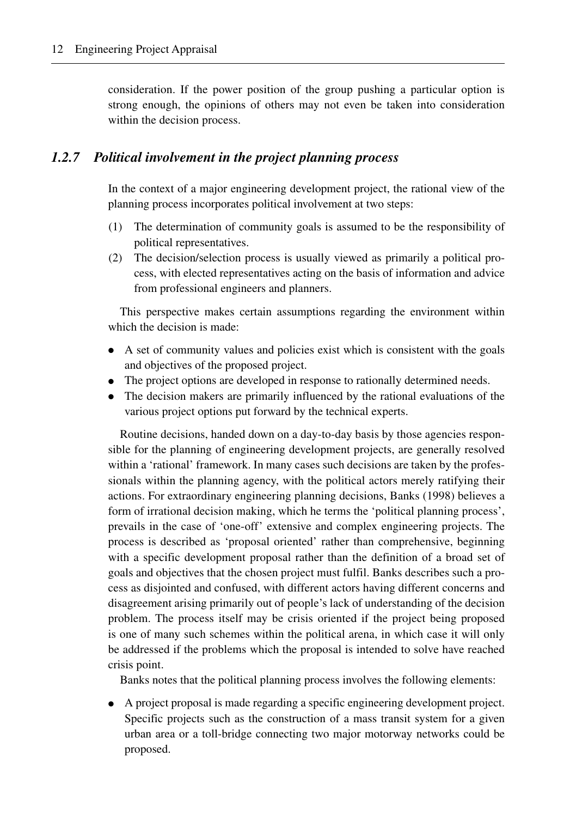consideration. If the power position of the group pushing a particular option is strong enough, the opinions of others may not even be taken into consideration within the decision process.

# *1.2.7 Political involvement in the project planning process*

 In the context of a major engineering development project, the rational view of the planning process incorporates political involvement at two steps:

- (1) The determination of community goals is assumed to be the responsibility of political representatives.
- (2) The decision/selection process is usually viewed as primarily a political process, with elected representatives acting on the basis of information and advice from professional engineers and planners.

 This perspective makes certain assumptions regarding the environment within which the decision is made:

- A set of community values and policies exist which is consistent with the goals and objectives of the proposed project.
- The project options are developed in response to rationally determined needs.
- The decision makers are primarily influenced by the rational evaluations of the various project options put forward by the technical experts.

 Routine decisions, handed down on a day-to-day basis by those agencies responsible for the planning of engineering development projects, are generally resolved within a 'rational' framework. In many cases such decisions are taken by the professionals within the planning agency, with the political actors merely ratifying their actions. For extraordinary engineering planning decisions, Banks (1998) believes a form of irrational decision making, which he terms the 'political planning process', prevails in the case of 'one-off' extensive and complex engineering projects. The process is described as 'proposal oriented' rather than comprehensive, beginning with a specific development proposal rather than the definition of a broad set of goals and objectives that the chosen project must fulfil. Banks describes such a process as disjointed and confused, with different actors having different concerns and disagreement arising primarily out of people's lack of understanding of the decision problem. The process itself may be crisis oriented if the project being proposed is one of many such schemes within the political arena, in which case it will only be addressed if the problems which the proposal is intended to solve have reached crisis point.

Banks notes that the political planning process involves the following elements:

- A project proposal is made regarding a specific engineering development project. Specific projects such as the construction of a mass transit system for a given urban area or a toll-bridge connecting two major motorway networks could be proposed.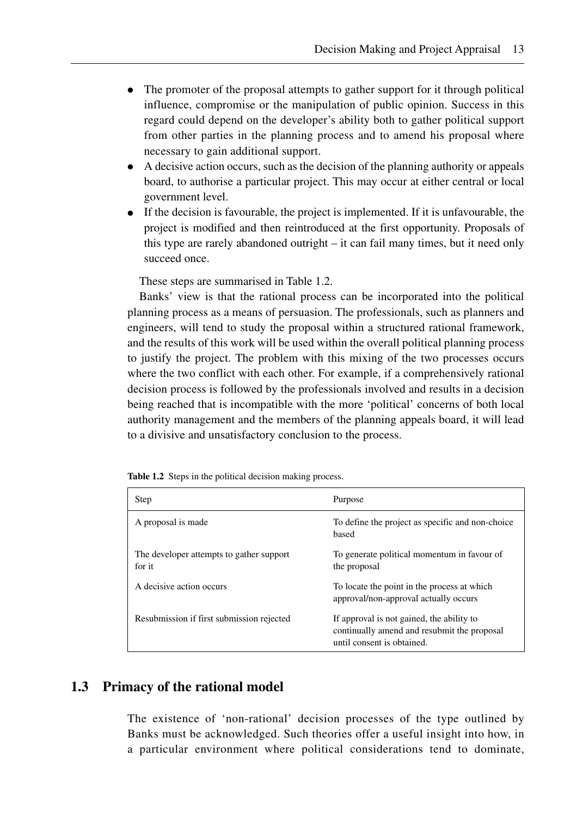- $\bullet$  The promoter of the proposal attempts to gather support for it through political influence, compromise or the manipulation of public opinion. Success in this regard could depend on the developer's ability both to gather political support from other parties in the planning process and to amend his proposal where necessary to gain additional support.
- A decisive action occurs, such as the decision of the planning authority or appeals board, to authorise a particular project. This may occur at either central or local government level.
- If the decision is favourable, the project is implemented. If it is unfavourable, the project is modified and then reintroduced at the first opportunity. Proposals of this type are rarely abandoned outright – it can fail many times, but it need only succeed once.

These steps are summarised in Table 1.2.

 Banks' view is that the rational process can be incorporated into the political planning process as a means of persuasion. The professionals, such as planners and engineers, will tend to study the proposal within a structured rational framework, and the results of this work will be used within the overall political planning process to justify the project. The problem with this mixing of the two processes occurs where the two conflict with each other. For example, if a comprehensively rational decision process is followed by the professionals involved and results in a decision being reached that is incompatible with the more 'political' concerns of both local authority management and the members of the planning appeals board, it will lead to a divisive and unsatisfactory conclusion to the process.

| Step                                               | Purpose                                                                                                                |
|----------------------------------------------------|------------------------------------------------------------------------------------------------------------------------|
| A proposal is made                                 | To define the project as specific and non-choice<br>based                                                              |
| The developer attempts to gather support<br>for it | To generate political momentum in favour of<br>the proposal                                                            |
| A decisive action occurs                           | To locate the point in the process at which<br>approval/non-approval actually occurs                                   |
| Resubmission if first submission rejected          | If approval is not gained, the ability to<br>continually amend and resubmit the proposal<br>until consent is obtained. |

 **Table 1.2** Steps in the political decision making process.

# **1.3 Primacy of the rational model**

 The existence of 'non-rational' decision processes of the type outlined by Banks must be acknowledged. Such theories offer a useful insight into how, in a particular environment where political considerations tend to dominate,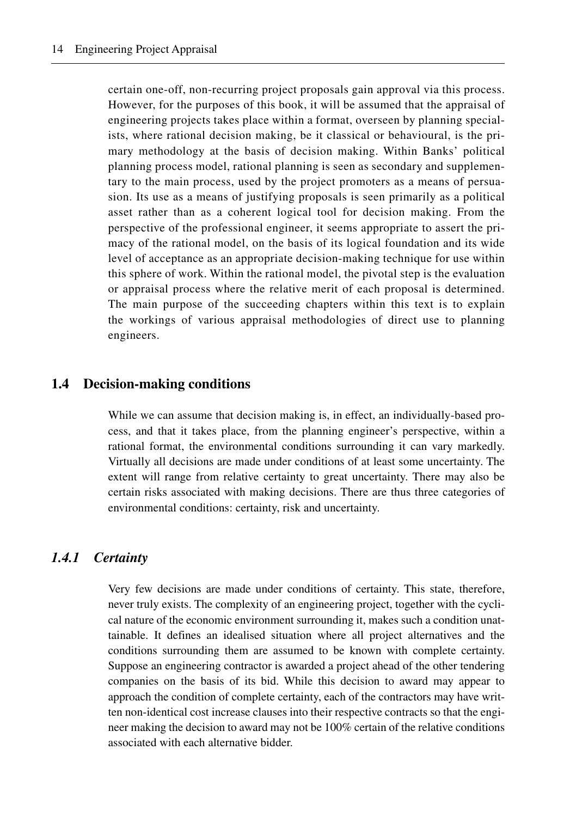certain one-off, non-recurring project proposals gain approval via this process. However, for the purposes of this book, it will be assumed that the appraisal of engineering projects takes place within a format, overseen by planning specialists, where rational decision making, be it classical or behavioural, is the primary methodology at the basis of decision making. Within Banks' political planning process model, rational planning is seen as secondary and supplementary to the main process, used by the project promoters as a means of persuasion. Its use as a means of justifying proposals is seen primarily as a political asset rather than as a coherent logical tool for decision making. From the perspective of the professional engineer, it seems appropriate to assert the primacy of the rational model, on the basis of its logical foundation and its wide level of acceptance as an appropriate decision-making technique for use within this sphere of work. Within the rational model, the pivotal step is the evaluation or appraisal process where the relative merit of each proposal is determined. The main purpose of the succeeding chapters within this text is to explain the workings of various appraisal methodologies of direct use to planning engineers.

#### **1.4 Decision-making conditions**

 While we can assume that decision making is, in effect, an individually-based process, and that it takes place, from the planning engineer's perspective, within a rational format, the environmental conditions surrounding it can vary markedly. Virtually all decisions are made under conditions of at least some uncertainty. The extent will range from relative certainty to great uncertainty. There may also be certain risks associated with making decisions. There are thus three categories of environmental conditions: certainty, risk and uncertainty.

# *1.4.1 Certainty*

 Very few decisions are made under conditions of certainty. This state, therefore, never truly exists. The complexity of an engineering project, together with the cyclical nature of the economic environment surrounding it, makes such a condition unattainable. It defines an idealised situation where all project alternatives and the conditions surrounding them are assumed to be known with complete certainty. Suppose an engineering contractor is awarded a project ahead of the other tendering companies on the basis of its bid. While this decision to award may appear to approach the condition of complete certainty, each of the contractors may have written non-identical cost increase clauses into their respective contracts so that the engineer making the decision to award may not be 100% certain of the relative conditions associated with each alternative bidder.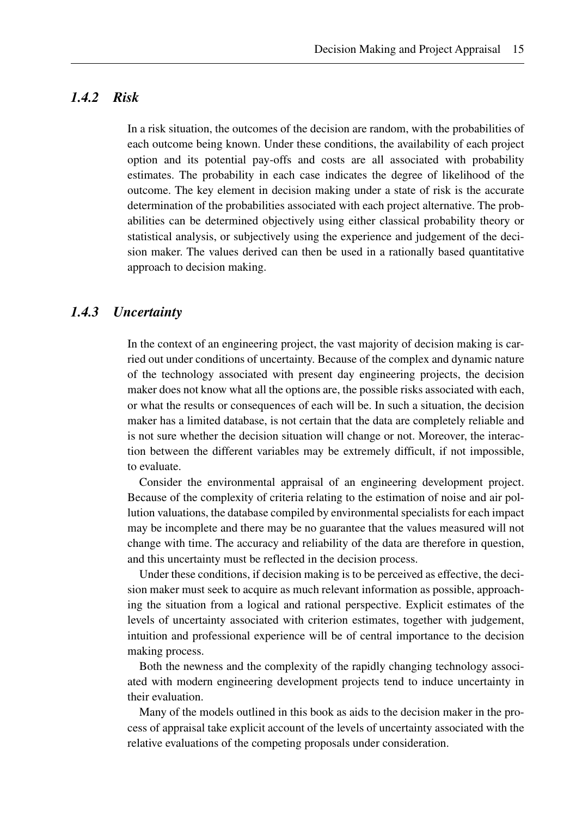# *1.4.2 Risk*

 In a risk situation, the outcomes of the decision are random, with the probabilities of each outcome being known. Under these conditions, the availability of each project option and its potential pay-offs and costs are all associated with probability estimates. The probability in each case indicates the degree of likelihood of the outcome. The key element in decision making under a state of risk is the accurate determination of the probabilities associated with each project alternative. The probabilities can be determined objectively using either classical probability theory or statistical analysis, or subjectively using the experience and judgement of the decision maker. The values derived can then be used in a rationally based quantitative approach to decision making.

# *1.4.3 Uncertainty*

 In the context of an engineering project, the vast majority of decision making is carried out under conditions of uncertainty. Because of the complex and dynamic nature of the technology associated with present day engineering projects, the decision maker does not know what all the options are, the possible risks associated with each, or what the results or consequences of each will be. In such a situation, the decision maker has a limited database, is not certain that the data are completely reliable and is not sure whether the decision situation will change or not. Moreover, the interaction between the different variables may be extremely difficult, if not impossible, to evaluate.

 Consider the environmental appraisal of an engineering development project. Because of the complexity of criteria relating to the estimation of noise and air pollution valuations, the database compiled by environmental specialists for each impact may be incomplete and there may be no guarantee that the values measured will not change with time. The accuracy and reliability of the data are therefore in question, and this uncertainty must be reflected in the decision process.

 Under these conditions, if decision making is to be perceived as effective, the decision maker must seek to acquire as much relevant information as possible, approaching the situation from a logical and rational perspective. Explicit estimates of the levels of uncertainty associated with criterion estimates, together with judgement, intuition and professional experience will be of central importance to the decision making process.

 Both the newness and the complexity of the rapidly changing technology associated with modern engineering development projects tend to induce uncertainty in their evaluation.

 Many of the models outlined in this book as aids to the decision maker in the process of appraisal take explicit account of the levels of uncertainty associated with the relative evaluations of the competing proposals under consideration.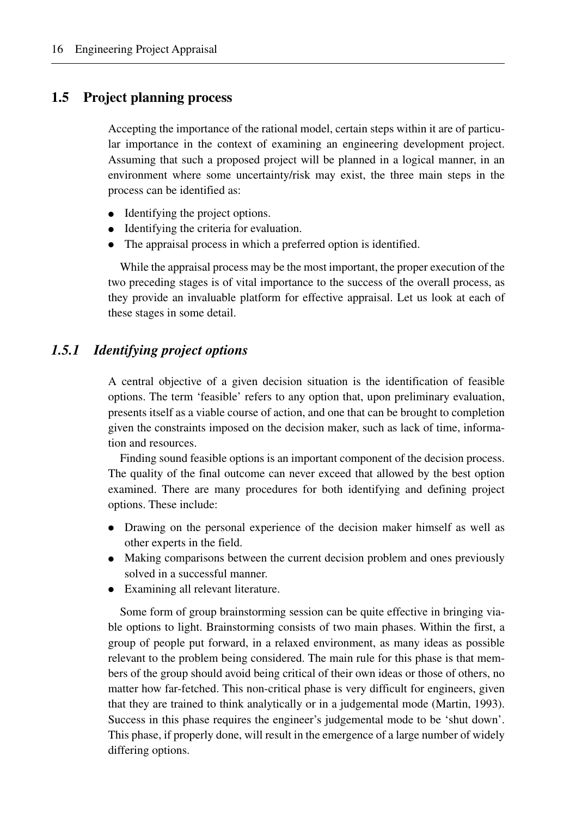# **1.5 Project planning process**

 Accepting the importance of the rational model, certain steps within it are of particular importance in the context of examining an engineering development project. Assuming that such a proposed project will be planned in a logical manner, in an environment where some uncertainty/risk may exist, the three main steps in the process can be identified as:

- Identifying the project options.
- Identifying the criteria for evaluation.
- The appraisal process in which a preferred option is identified.

 While the appraisal process may be the most important, the proper execution of the two preceding stages is of vital importance to the success of the overall process, as they provide an invaluable platform for effective appraisal. Let us look at each of these stages in some detail.

# *1.5.1 Identifying project options*

 A central objective of a given decision situation is the identification of feasible options. The term 'feasible' refers to any option that, upon preliminary evaluation, presents itself as a viable course of action, and one that can be brought to completion given the constraints imposed on the decision maker, such as lack of time, information and resources.

 Finding sound feasible options is an important component of the decision process. The quality of the final outcome can never exceed that allowed by the best option examined. There are many procedures for both identifying and defining project options. These include:

- Drawing on the personal experience of the decision maker himself as well as other experts in the field.
- Making comparisons between the current decision problem and ones previously solved in a successful manner.
- Examining all relevant literature.

 Some form of group brainstorming session can be quite effective in bringing viable options to light. Brainstorming consists of two main phases. Within the first, a group of people put forward, in a relaxed environment, as many ideas as possible relevant to the problem being considered. The main rule for this phase is that members of the group should avoid being critical of their own ideas or those of others, no matter how far-fetched. This non-critical phase is very difficult for engineers, given that they are trained to think analytically or in a judgemental mode (Martin, 1993). Success in this phase requires the engineer's judgemental mode to be 'shut down'. This phase, if properly done, will result in the emergence of a large number of widely differing options.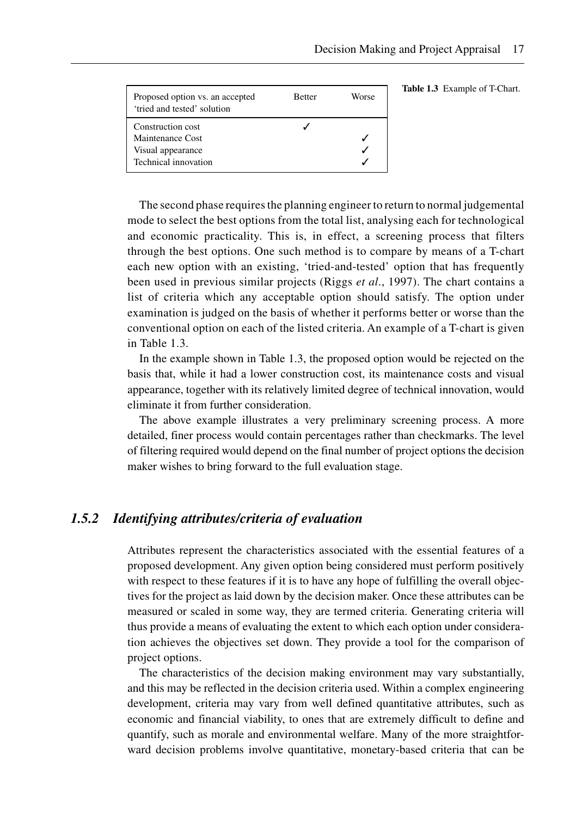| Proposed option vs. an accepted<br>'tried and tested' solution                     | <b>Better</b> | Worse |
|------------------------------------------------------------------------------------|---------------|-------|
| Construction cost<br>Maintenance Cost<br>Visual appearance<br>Technical innovation |               |       |

**Table 1.3** Example of T-Chart.

 The second phase requires the planning engineer to return to normal judgemental mode to select the best options from the total list, analysing each for technological and economic practicality. This is, in effect, a screening process that filters through the best options. One such method is to compare by means of a T-chart each new option with an existing, 'tried-and-tested' option that has frequently been used in previous similar projects (Riggs *et al* ., 1997). The chart contains a list of criteria which any acceptable option should satisfy. The option under examination is judged on the basis of whether it performs better or worse than the conventional option on each of the listed criteria. An example of a T-chart is given in Table 1.3.

 In the example shown in Table 1.3 , the proposed option would be rejected on the basis that, while it had a lower construction cost, its maintenance costs and visual appearance, together with its relatively limited degree of technical innovation, would eliminate it from further consideration.

 The above example illustrates a very preliminary screening process. A more detailed, finer process would contain percentages rather than checkmarks. The level of filtering required would depend on the final number of project options the decision maker wishes to bring forward to the full evaluation stage.

# *1.5.2 Identifying attributes/criteria of evaluation*

 Attributes represent the characteristics associated with the essential features of a proposed development. Any given option being considered must perform positively with respect to these features if it is to have any hope of fulfilling the overall objectives for the project as laid down by the decision maker. Once these attributes can be measured or scaled in some way, they are termed criteria. Generating criteria will thus provide a means of evaluating the extent to which each option under consideration achieves the objectives set down. They provide a tool for the comparison of project options.

 The characteristics of the decision making environment may vary substantially, and this may be reflected in the decision criteria used. Within a complex engineering development, criteria may vary from well defined quantitative attributes, such as economic and financial viability, to ones that are extremely difficult to define and quantify, such as morale and environmental welfare. Many of the more straightforward decision problems involve quantitative, monetary-based criteria that can be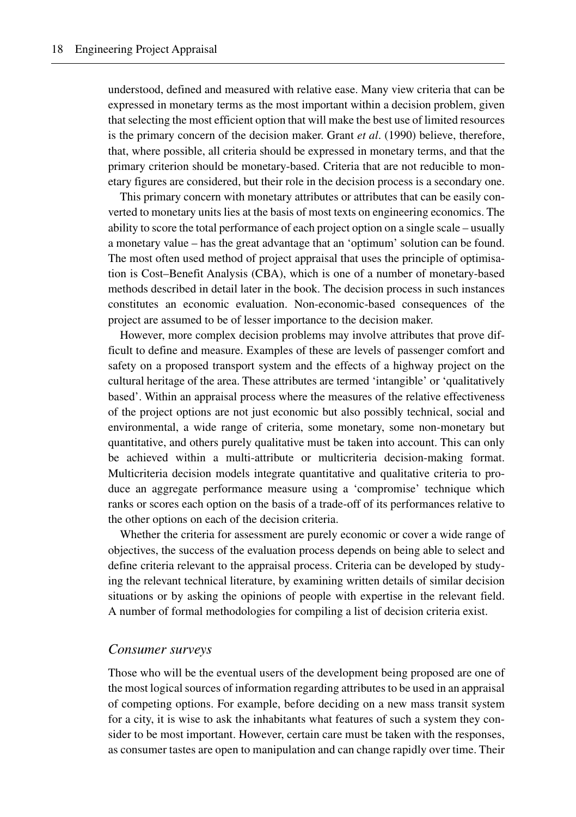understood, defined and measured with relative ease. Many view criteria that can be expressed in monetary terms as the most important within a decision problem, given that selecting the most efficient option that will make the best use of limited resources is the primary concern of the decision maker. Grant *et al* . (1990) believe, therefore, that, where possible, all criteria should be expressed in monetary terms, and that the primary criterion should be monetary-based. Criteria that are not reducible to monetary figures are considered, but their role in the decision process is a secondary one.

 This primary concern with monetary attributes or attributes that can be easily converted to monetary units lies at the basis of most texts on engineering economics. The ability to score the total performance of each project option on a single scale – usually a monetary value – has the great advantage that an 'optimum' solution can be found. The most often used method of project appraisal that uses the principle of optimisation is Cost–Benefit Analysis (CBA), which is one of a number of monetary-based methods described in detail later in the book. The decision process in such instances constitutes an economic evaluation. Non-economic-based consequences of the project are assumed to be of lesser importance to the decision maker.

 However, more complex decision problems may involve attributes that prove difficult to define and measure. Examples of these are levels of passenger comfort and safety on a proposed transport system and the effects of a highway project on the cultural heritage of the area. These attributes are termed 'intangible' or 'qualitatively based'. Within an appraisal process where the measures of the relative effectiveness of the project options are not just economic but also possibly technical, social and environmental, a wide range of criteria, some monetary, some non-monetary but quantitative, and others purely qualitative must be taken into account. This can only be achieved within a multi-attribute or multicriteria decision-making format. Multicriteria decision models integrate quantitative and qualitative criteria to produce an aggregate performance measure using a 'compromise' technique which ranks or scores each option on the basis of a trade-off of its performances relative to the other options on each of the decision criteria.

 Whether the criteria for assessment are purely economic or cover a wide range of objectives, the success of the evaluation process depends on being able to select and define criteria relevant to the appraisal process. Criteria can be developed by studying the relevant technical literature, by examining written details of similar decision situations or by asking the opinions of people with expertise in the relevant field. A number of formal methodologies for compiling a list of decision criteria exist.

#### *Consumer surveys*

 Those who will be the eventual users of the development being proposed are one of the most logical sources of information regarding attributes to be used in an appraisal of competing options. For example, before deciding on a new mass transit system for a city, it is wise to ask the inhabitants what features of such a system they consider to be most important. However, certain care must be taken with the responses, as consumer tastes are open to manipulation and can change rapidly over time. Their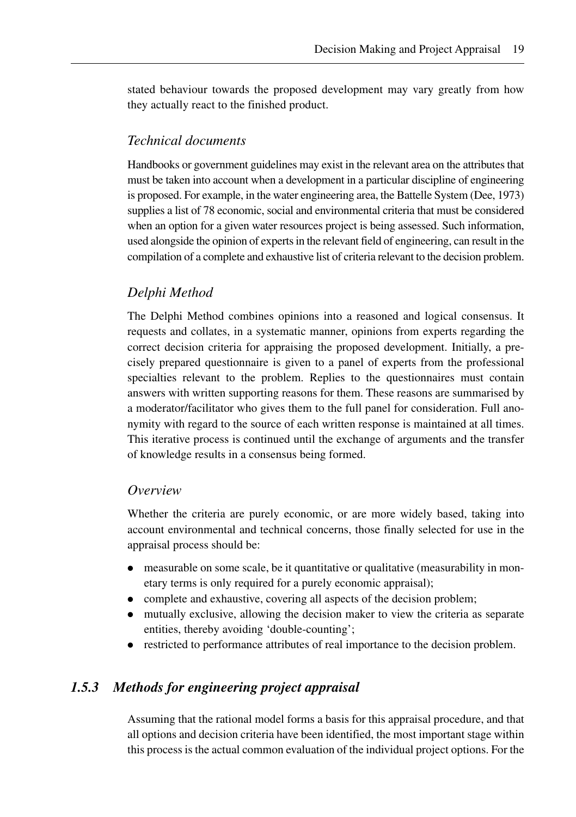stated behaviour towards the proposed development may vary greatly from how they actually react to the finished product.

#### *Technical documents*

 Handbooks or government guidelines may exist in the relevant area on the attributes that must be taken into account when a development in a particular discipline of engineering is proposed. For example, in the water engineering area, the Battelle System (Dee, 1973) supplies a list of 78 economic, social and environmental criteria that must be considered when an option for a given water resources project is being assessed. Such information, used alongside the opinion of experts in the relevant field of engineering, can result in the compilation of a complete and exhaustive list of criteria relevant to the decision problem.

# *Delphi Method*

 The Delphi Method combines opinions into a reasoned and logical consensus. It requests and collates, in a systematic manner, opinions from experts regarding the correct decision criteria for appraising the proposed development. Initially, a precisely prepared questionnaire is given to a panel of experts from the professional specialties relevant to the problem. Replies to the questionnaires must contain answers with written supporting reasons for them. These reasons are summarised by a moderator/facilitator who gives them to the full panel for consideration. Full anonymity with regard to the source of each written response is maintained at all times. This iterative process is continued until the exchange of arguments and the transfer of knowledge results in a consensus being formed.

## *Overview*

 Whether the criteria are purely economic, or are more widely based, taking into account environmental and technical concerns, those finally selected for use in the appraisal process should be:

- $\bullet$  measurable on some scale, be it quantitative or qualitative (measurability in monetary terms is only required for a purely economic appraisal);
- complete and exhaustive, covering all aspects of the decision problem;
- mutually exclusive, allowing the decision maker to view the criteria as separate entities, thereby avoiding 'double-counting';
- restricted to performance attributes of real importance to the decision problem.

## *1.5.3 Methods for engineering project appraisal*

 Assuming that the rational model forms a basis for this appraisal procedure, and that all options and decision criteria have been identified, the most important stage within this process is the actual common evaluation of the individual project options. For the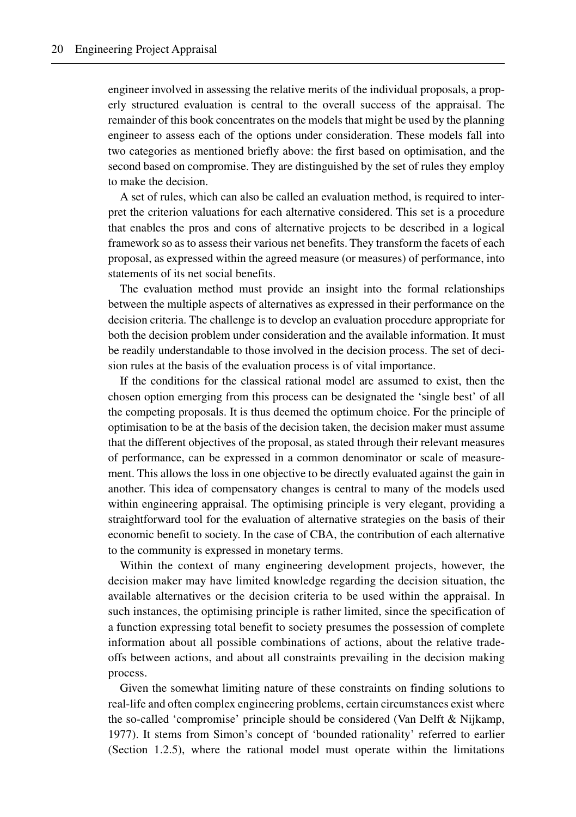engineer involved in assessing the relative merits of the individual proposals, a properly structured evaluation is central to the overall success of the appraisal. The remainder of this book concentrates on the models that might be used by the planning engineer to assess each of the options under consideration. These models fall into two categories as mentioned briefly above: the first based on optimisation, and the second based on compromise. They are distinguished by the set of rules they employ to make the decision.

 A set of rules, which can also be called an evaluation method, is required to interpret the criterion valuations for each alternative considered. This set is a procedure that enables the pros and cons of alternative projects to be described in a logical framework so as to assess their various net benefits. They transform the facets of each proposal, as expressed within the agreed measure (or measures) of performance, into statements of its net social benefits.

 The evaluation method must provide an insight into the formal relationships between the multiple aspects of alternatives as expressed in their performance on the decision criteria. The challenge is to develop an evaluation procedure appropriate for both the decision problem under consideration and the available information. It must be readily understandable to those involved in the decision process. The set of decision rules at the basis of the evaluation process is of vital importance.

 If the conditions for the classical rational model are assumed to exist, then the chosen option emerging from this process can be designated the 'single best' of all the competing proposals. It is thus deemed the optimum choice. For the principle of optimisation to be at the basis of the decision taken, the decision maker must assume that the different objectives of the proposal, as stated through their relevant measures of performance, can be expressed in a common denominator or scale of measurement. This allows the loss in one objective to be directly evaluated against the gain in another. This idea of compensatory changes is central to many of the models used within engineering appraisal. The optimising principle is very elegant, providing a straightforward tool for the evaluation of alternative strategies on the basis of their economic benefit to society. In the case of CBA, the contribution of each alternative to the community is expressed in monetary terms.

 Within the context of many engineering development projects, however, the decision maker may have limited knowledge regarding the decision situation, the available alternatives or the decision criteria to be used within the appraisal. In such instances, the optimising principle is rather limited, since the specification of a function expressing total benefit to society presumes the possession of complete information about all possible combinations of actions, about the relative tradeoffs between actions, and about all constraints prevailing in the decision making process.

 Given the somewhat limiting nature of these constraints on finding solutions to real-life and often complex engineering problems, certain circumstances exist where the so-called 'compromise' principle should be considered (Van Delft & Nijkamp, 1977). It stems from Simon's concept of 'bounded rationality' referred to earlier (Section 1.2.5), where the rational model must operate within the limitations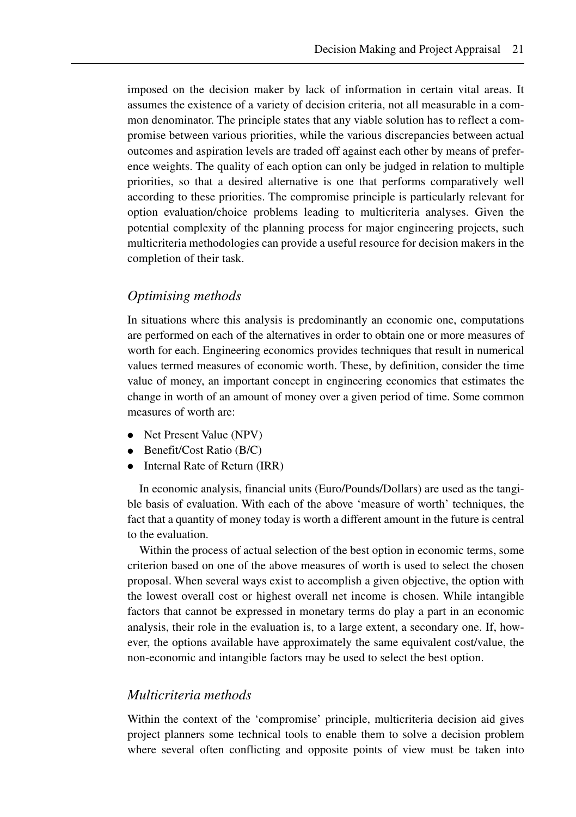imposed on the decision maker by lack of information in certain vital areas. It assumes the existence of a variety of decision criteria, not all measurable in a common denominator. The principle states that any viable solution has to reflect a compromise between various priorities, while the various discrepancies between actual outcomes and aspiration levels are traded off against each other by means of preference weights. The quality of each option can only be judged in relation to multiple priorities, so that a desired alternative is one that performs comparatively well according to these priorities. The compromise principle is particularly relevant for option evaluation/choice problems leading to multicriteria analyses. Given the potential complexity of the planning process for major engineering projects, such multicriteria methodologies can provide a useful resource for decision makers in the completion of their task.

#### *Optimising methods*

 In situations where this analysis is predominantly an economic one, computations are performed on each of the alternatives in order to obtain one or more measures of worth for each. Engineering economics provides techniques that result in numerical values termed measures of economic worth. These, by definition, consider the time value of money, an important concept in engineering economics that estimates the change in worth of an amount of money over a given period of time. Some common measures of worth are:

- Net Present Value (NPV)
- $\bullet$ Benefit/Cost Ratio (B/C)
- $\bullet$ Internal Rate of Return (IRR)

 In economic analysis, financial units (Euro/Pounds/Dollars) are used as the tangible basis of evaluation. With each of the above 'measure of worth' techniques, the fact that a quantity of money today is worth a different amount in the future is central to the evaluation.

 Within the process of actual selection of the best option in economic terms, some criterion based on one of the above measures of worth is used to select the chosen proposal. When several ways exist to accomplish a given objective, the option with the lowest overall cost or highest overall net income is chosen. While intangible factors that cannot be expressed in monetary terms do play a part in an economic analysis, their role in the evaluation is, to a large extent, a secondary one. If, however, the options available have approximately the same equivalent cost/value, the non-economic and intangible factors may be used to select the best option.

# *Multicriteria methods*

 Within the context of the 'compromise' principle, multicriteria decision aid gives project planners some technical tools to enable them to solve a decision problem where several often conflicting and opposite points of view must be taken into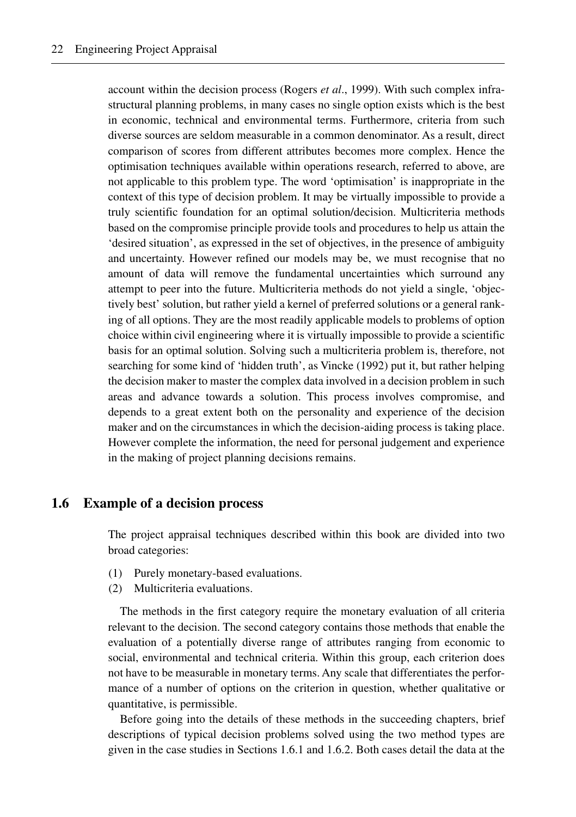account within the decision process (Rogers *et al* ., 1999). With such complex infrastructural planning problems, in many cases no single option exists which is the best in economic, technical and environmental terms. Furthermore, criteria from such diverse sources are seldom measurable in a common denominator. As a result, direct comparison of scores from different attributes becomes more complex. Hence the optimisation techniques available within operations research, referred to above, are not applicable to this problem type. The word 'optimisation' is inappropriate in the context of this type of decision problem. It may be virtually impossible to provide a truly scientific foundation for an optimal solution/decision. Multicriteria methods based on the compromise principle provide tools and procedures to help us attain the 'desired situation', as expressed in the set of objectives, in the presence of ambiguity and uncertainty. However refined our models may be, we must recognise that no amount of data will remove the fundamental uncertainties which surround any attempt to peer into the future. Multicriteria methods do not yield a single, 'objectively best' solution, but rather yield a kernel of preferred solutions or a general ranking of all options. They are the most readily applicable models to problems of option choice within civil engineering where it is virtually impossible to provide a scientific basis for an optimal solution. Solving such a multicriteria problem is, therefore, not searching for some kind of 'hidden truth', as Vincke (1992) put it, but rather helping the decision maker to master the complex data involved in a decision problem in such areas and advance towards a solution. This process involves compromise, and depends to a great extent both on the personality and experience of the decision maker and on the circumstances in which the decision-aiding process is taking place. However complete the information, the need for personal judgement and experience in the making of project planning decisions remains.

#### **1.6 Example of a decision process**

 The project appraisal techniques described within this book are divided into two broad categories:

- (1) Purely monetary-based evaluations.
- (2) Multicriteria evaluations.

 The methods in the first category require the monetary evaluation of all criteria relevant to the decision. The second category contains those methods that enable the evaluation of a potentially diverse range of attributes ranging from economic to social, environmental and technical criteria. Within this group, each criterion does not have to be measurable in monetary terms. Any scale that differentiates the performance of a number of options on the criterion in question, whether qualitative or quantitative, is permissible.

 Before going into the details of these methods in the succeeding chapters, brief descriptions of typical decision problems solved using the two method types are given in the case studies in Sections 1.6.1 and 1.6.2. Both cases detail the data at the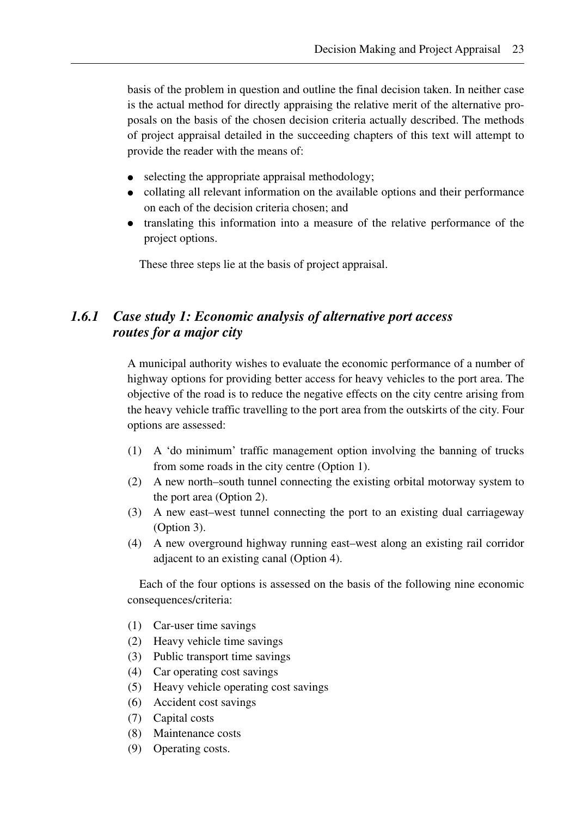basis of the problem in question and outline the final decision taken. In neither case is the actual method for directly appraising the relative merit of the alternative proposals on the basis of the chosen decision criteria actually described. The methods of project appraisal detailed in the succeeding chapters of this text will attempt to provide the reader with the means of:

- selecting the appropriate appraisal methodology;
- collating all relevant information on the available options and their performance on each of the decision criteria chosen; and
- translating this information into a measure of the relative performance of the project options.

These three steps lie at the basis of project appraisal.

# *1.6.1 Case study 1: Economic analysis of alternative port access routes for a major city*

 A municipal authority wishes to evaluate the economic performance of a number of highway options for providing better access for heavy vehicles to the port area. The objective of the road is to reduce the negative effects on the city centre arising from the heavy vehicle traffic travelling to the port area from the outskirts of the city. Four options are assessed:

- (1) A 'do minimum' traffic management option involving the banning of trucks from some roads in the city centre (Option 1).
- (2) A new north–south tunnel connecting the existing orbital motorway system to the port area (Option 2).
- (3) A new east–west tunnel connecting the port to an existing dual carriageway (Option 3).
- (4) A new overground highway running east–west along an existing rail corridor adjacent to an existing canal (Option 4).

 Each of the four options is assessed on the basis of the following nine economic consequences/criteria:

- (1) Car-user time savings
- (2) Heavy vehicle time savings
- (3) Public transport time savings
- (4) Car operating cost savings
- (5) Heavy vehicle operating cost savings
- (6) Accident cost savings
- (7) Capital costs
- (8) Maintenance costs
- (9) Operating costs.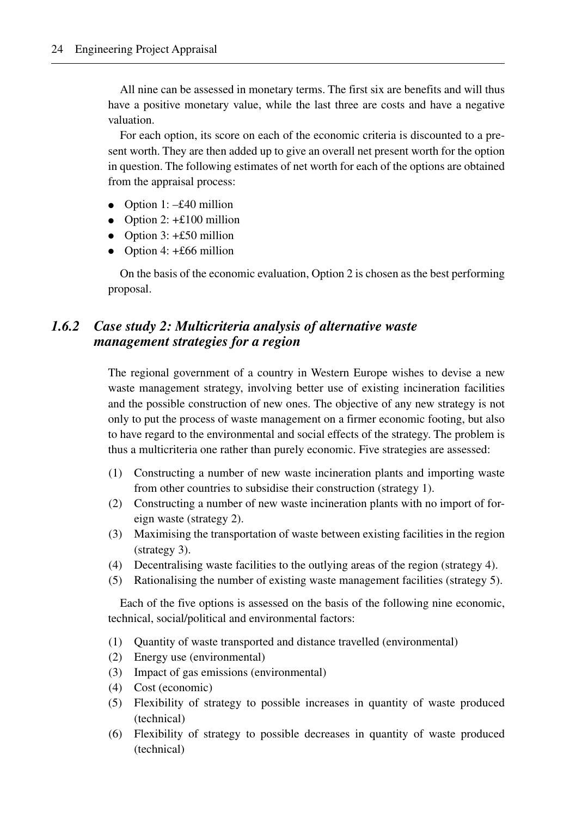All nine can be assessed in monetary terms. The first six are benefits and will thus have a positive monetary value, while the last three are costs and have a negative valuation.

 For each option, its score on each of the economic criteria is discounted to a present worth. They are then added up to give an overall net present worth for the option in question. The following estimates of net worth for each of the options are obtained from the appraisal process:

- Option 1: -£40 million
- Option 2:  $+£100$  million
- Option 3: +£50 million
- Option 4: +£66 million

 On the basis of the economic evaluation, Option 2 is chosen as the best performing proposal.

# *1.6.2 Case study 2: Multicriteria analysis of alternative waste management strategies for a region*

 The regional government of a country in Western Europe wishes to devise a new waste management strategy, involving better use of existing incineration facilities and the possible construction of new ones. The objective of any new strategy is not only to put the process of waste management on a firmer economic footing, but also to have regard to the environmental and social effects of the strategy. The problem is thus a multicriteria one rather than purely economic. Five strategies are assessed:

- (1) Constructing a number of new waste incineration plants and importing waste from other countries to subsidise their construction (strategy 1).
- (2) Constructing a number of new waste incineration plants with no import of foreign waste (strategy 2).
- (3) Maximising the transportation of waste between existing facilities in the region (strategy 3).
- (4) Decentralising waste facilities to the outlying areas of the region (strategy 4).
- (5) Rationalising the number of existing waste management facilities (strategy 5).

 Each of the five options is assessed on the basis of the following nine economic, technical, social/political and environmental factors:

- (1) Quantity of waste transported and distance travelled (environmental)
- (2) Energy use (environmental)
- (3) Impact of gas emissions (environmental)
- (4) Cost (economic)
- (5) Flexibility of strategy to possible increases in quantity of waste produced (technical)
- (6) Flexibility of strategy to possible decreases in quantity of waste produced (technical)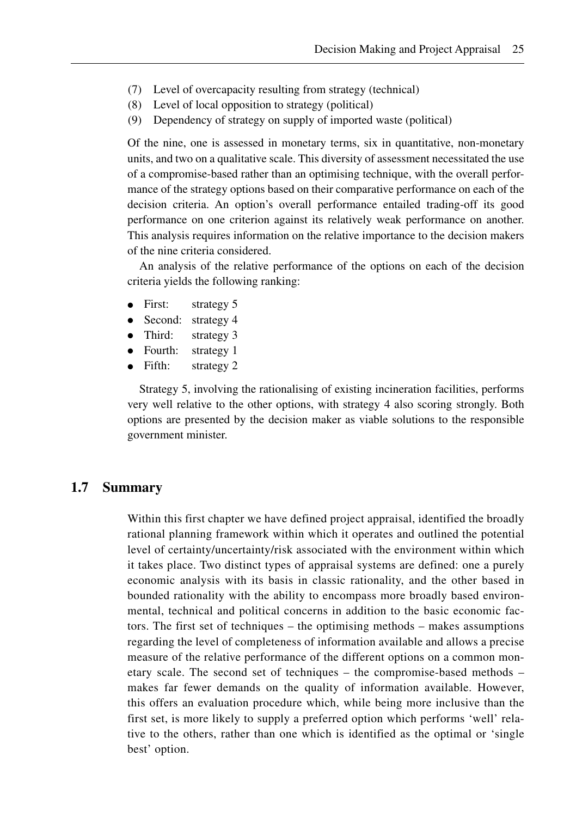- (7) Level of overcapacity resulting from strategy (technical)
- (8) Level of local opposition to strategy (political)
- (9) Dependency of strategy on supply of imported waste (political)

 Of the nine, one is assessed in monetary terms, six in quantitative, non-monetary units, and two on a qualitative scale. This diversity of assessment necessitated the use of a compromise-based rather than an optimising technique, with the overall performance of the strategy options based on their comparative performance on each of the decision criteria. An option's overall performance entailed trading-off its good performance on one criterion against its relatively weak performance on another. This analysis requires information on the relative importance to the decision makers of the nine criteria considered.

 An analysis of the relative performance of the options on each of the decision criteria yields the following ranking:

- First: strategy 5
- $\bullet$ Second: strategy 4
- $\bullet$ Third: strategy 3
- Fourth: strategy 1
- · Fifth: strategy 2

 Strategy 5, involving the rationalising of existing incineration facilities, performs very well relative to the other options, with strategy 4 also scoring strongly. Both options are presented by the decision maker as viable solutions to the responsible government minister.

#### **1.7 Summary**

 Within this first chapter we have defined project appraisal, identified the broadly rational planning framework within which it operates and outlined the potential level of certainty/uncertainty/risk associated with the environment within which it takes place. Two distinct types of appraisal systems are defined: one a purely economic analysis with its basis in classic rationality, and the other based in bounded rationality with the ability to encompass more broadly based environmental, technical and political concerns in addition to the basic economic factors. The first set of techniques – the optimising methods – makes assumptions regarding the level of completeness of information available and allows a precise measure of the relative performance of the different options on a common monetary scale. The second set of techniques – the compromise-based methods – makes far fewer demands on the quality of information available. However, this offers an evaluation procedure which, while being more inclusive than the first set, is more likely to supply a preferred option which performs 'well' relative to the others, rather than one which is identified as the optimal or 'single best' option.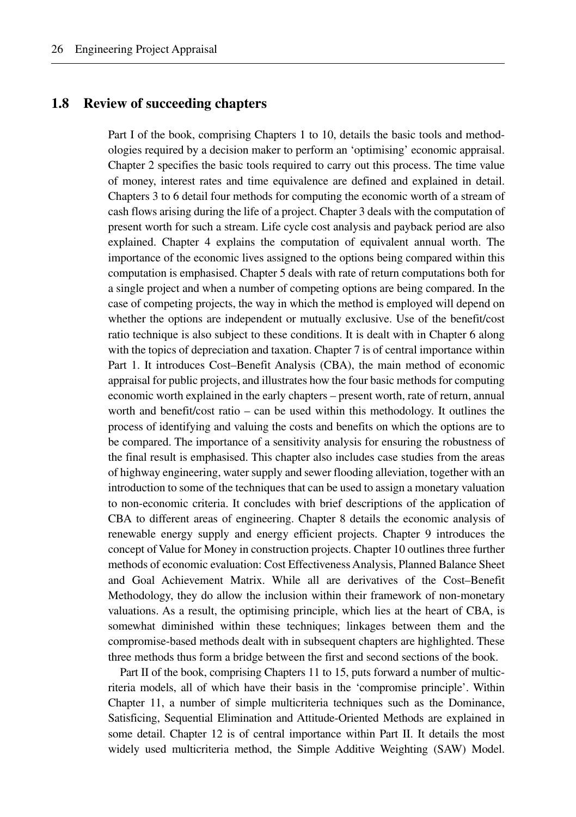#### **1.8 Review of succeeding chapters**

 Part I of the book, comprising Chapters 1 to 10, details the basic tools and methodologies required by a decision maker to perform an 'optimising' economic appraisal. Chapter 2 specifies the basic tools required to carry out this process. The time value of money, interest rates and time equivalence are defined and explained in detail. Chapters 3 to 6 detail four methods for computing the economic worth of a stream of cash flows arising during the life of a project. Chapter 3 deals with the computation of present worth for such a stream. Life cycle cost analysis and payback period are also explained. Chapter 4 explains the computation of equivalent annual worth. The importance of the economic lives assigned to the options being compared within this computation is emphasised. Chapter 5 deals with rate of return computations both for a single project and when a number of competing options are being compared. In the case of competing projects, the way in which the method is employed will depend on whether the options are independent or mutually exclusive. Use of the benefit/cost ratio technique is also subject to these conditions. It is dealt with in Chapter 6 along with the topics of depreciation and taxation. Chapter 7 is of central importance within Part 1. It introduces Cost–Benefit Analysis (CBA), the main method of economic appraisal for public projects, and illustrates how the four basic methods for computing economic worth explained in the early chapters – present worth, rate of return, annual worth and benefit/cost ratio – can be used within this methodology. It outlines the process of identifying and valuing the costs and benefits on which the options are to be compared. The importance of a sensitivity analysis for ensuring the robustness of the final result is emphasised. This chapter also includes case studies from the areas of highway engineering, water supply and sewer flooding alleviation, together with an introduction to some of the techniques that can be used to assign a monetary valuation to non-economic criteria. It concludes with brief descriptions of the application of CBA to different areas of engineering. Chapter 8 details the economic analysis of renewable energy supply and energy efficient projects. Chapter 9 introduces the concept of Value for Money in construction projects. Chapter 10 outlines three further methods of economic evaluation: Cost Effectiveness Analysis, Planned Balance Sheet and Goal Achievement Matrix. While all are derivatives of the Cost–Benefit Methodology, they do allow the inclusion within their framework of non-monetary valuations. As a result, the optimising principle, which lies at the heart of CBA, is somewhat diminished within these techniques; linkages between them and the compromise-based methods dealt with in subsequent chapters are highlighted. These three methods thus form a bridge between the first and second sections of the book.

Part II of the book, comprising Chapters 11 to 15, puts forward a number of multicriteria models, all of which have their basis in the 'compromise principle'. Within Chapter 11, a number of simple multicriteria techniques such as the Dominance, Satisficing, Sequential Elimination and Attitude-Oriented Methods are explained in some detail. Chapter 12 is of central importance within Part II. It details the most widely used multicriteria method, the Simple Additive Weighting (SAW) Model.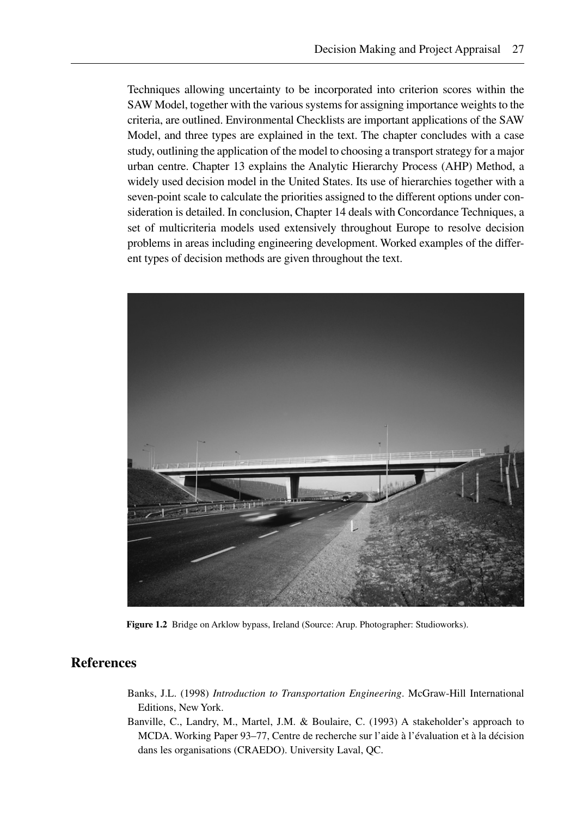Techniques allowing uncertainty to be incorporated into criterion scores within the SAW Model, together with the various systems for assigning importance weights to the criteria, are outlined. Environmental Checklists are important applications of the SAW Model, and three types are explained in the text. The chapter concludes with a case study, outlining the application of the model to choosing a transport strategy for a major urban centre. Chapter 13 explains the Analytic Hierarchy Process (AHP) Method, a widely used decision model in the United States. Its use of hierarchies together with a seven-point scale to calculate the priorities assigned to the different options under consideration is detailed. In conclusion, Chapter 14 deals with Concordance Techniques, a set of multicriteria models used extensively throughout Europe to resolve decision problems in areas including engineering development. Worked examples of the different types of decision methods are given throughout the text.



 **Figure 1.2** Bridge on Arklow bypass, Ireland (Source: Arup. Photographer: Studioworks).

## **References**

- Banks , J.L. ( 1998 ) *Introduction to Transportation Engineering* . McGraw-Hill International Editions, New York.
- Banville, C., Landry, M., Martel, J.M. & Boulaire, C. (1993) A stakeholder's approach to MCDA . Working Paper 93–77, Centre de recherche sur l'aide à l'évaluation et à la décision dans les organisations (CRAEDO). University Laval, QC.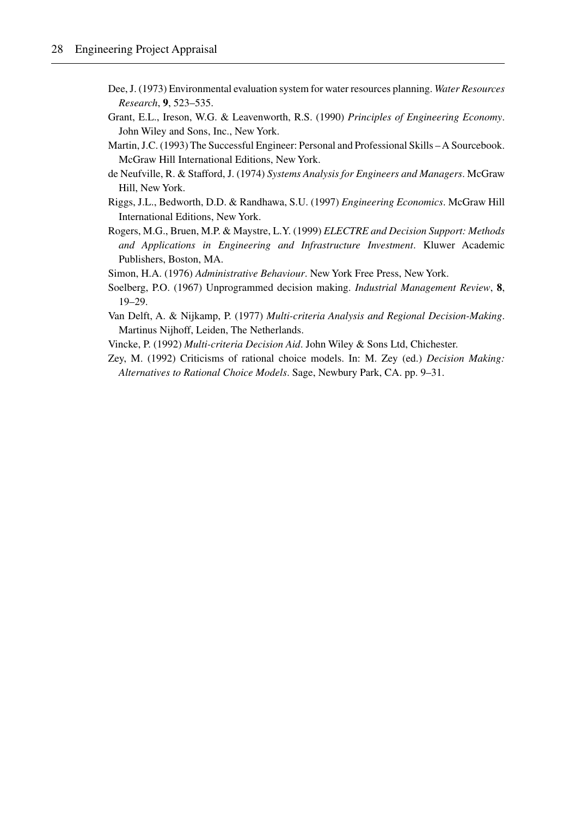- Dee , J. ( 1973 ) Environmental evaluation system for water resources planning . *Water Resources Research* , **9** , 523 – 535 .
- Grant, E.L., Ireson, W.G. & Leavenworth, R.S. (1990) *Principles of Engineering Economy*. John Wiley and Sons, Inc., New York.
- Martin, J.C. (1993) The Successful Engineer: Personal and Professional Skills A Sourcebook. McGraw Hill International Editions, New York.
- de Neufville , R. & Stafford , J . ( 1974 ) *Systems Analysis for Engineers and Managers* . McGraw Hill, New York.
- Riggs , J.L. , Bedworth , D.D. & Randhawa , S.U. ( 1997 ) *Engineering Economics* . McGraw Hill International Editions, New York.
- Rogers , M.G. , Bruen , M.P. & Maystre , L.Y. ( 1999 ) *ELECTRE and Decision Support: Methods and Applications in Engineering and Infrastructure Investment* . Kluwer Academic Publishers, Boston, MA.
- Simon, H.A. (1976) *Administrative Behaviour*. New York Free Press, New York.
- Soelberg, P.O. (1967) Unprogrammed decision making. *Industrial Management Review*, 8,  $19 - 29.$
- Van Delft, A. & Nijkamp, P. (1977) *Multi-criteria Analysis and Regional Decision-Making*. Martinus Nijhoff, Leiden, The Netherlands.
- Vincke, P. (1992) *Multi-criteria Decision Aid*. John Wiley & Sons Ltd, Chichester.
- Zey , M. ( 1992 ) Criticisms of rational choice models . In: M. Zey (ed.) *Decision Making: Alternatives to Rational Choice Models*. Sage, Newbury Park, CA. pp. 9–31.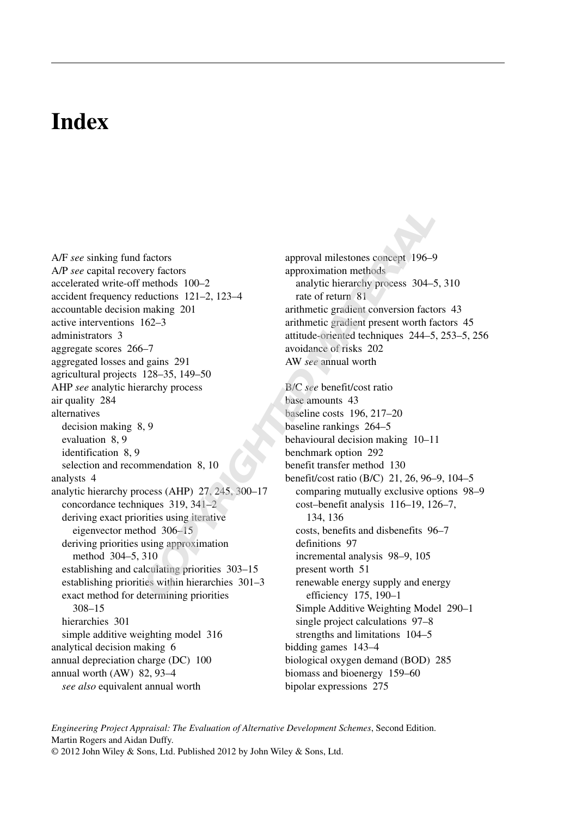# **Index**

A/F *see* sinking fund factors A/P *see* capital recovery factors accelerated write-off methods 100–2 accident frequency reductions 121–2, 123–4 accountable decision making 201 active interventions 162–3 administrators 3 aggregate scores 266–7 aggregated losses and gains 291 agricultural projects 128–35, 149–50 AHP *see* analytic hierarchy process air quality 284 alternatives decision making 8, 9 evaluation 8, 9 identification 8, 9 selection and recommendation 8, 10 analysts 4 analytic hierarchy process (AHP) 27, 245, 300–17 concordance techniques 319, 341–2 deriving exact priorities using iterative eigenvector method 306–15 deriving priorities using approximation method 304–5, 310 establishing and calculating priorities 303–15 establishing priorities within hierarchies 301–3 exact method for determining priorities 308–15 hierarchies 301 simple additive weighting model 316 analytical decision making 6 annual depreciation charge (DC) 100 annual worth (AW) 82, 93–4 *see also* equivalent annual worth Factors<br>
methods 100–2<br>
methods 100–2<br>
methods 100–2<br>
analytic hierarchy process 304–<br>
analytic hierarchy process 304–<br>
making 201<br>
making 201<br>
arithmetic gradient researt worth fa<br>
arithmetic gradient researt worth fa<br>
ar

approval milestones concept 196–9 approximation methods analytic hierarchy process 304–5, 310 rate of return 81 arithmetic gradient conversion factors 43 arithmetic gradient present worth factors 45 attitude-oriented techniques 244–5, 253–5, 256 avoidance of risks 202 AW *see* annual worth

B/C *see* benefit/cost ratio base amounts 43 baseline costs 196, 217–20 baseline rankings 264–5 behavioural decision making 10–11 benchmark option 292 benefit transfer method 130 benefit/cost ratio (B/C) 21, 26, 96–9, 104–5 comparing mutually exclusive options 98–9 cost–benefit analysis 116–19, 126–7, 134, 136 costs, benefits and disbenefits 96–7 definitions 97 incremental analysis 98–9, 105 present worth 51 renewable energy supply and energy efficiency 175, 190–1 Simple Additive Weighting Model 290–1 single project calculations 97–8 strengths and limitations 104–5 bidding games 143–4 biological oxygen demand (BOD) 285 biomass and bioenergy 159–60 bipolar expressions 275

*Engineering Project Appraisal: The Evaluation of Alternative Development Schemes*, Second Edition. Martin Rogers and Aidan Duffy. © 2012 John Wiley & Sons, Ltd. Published 2012 by John Wiley & Sons, Ltd.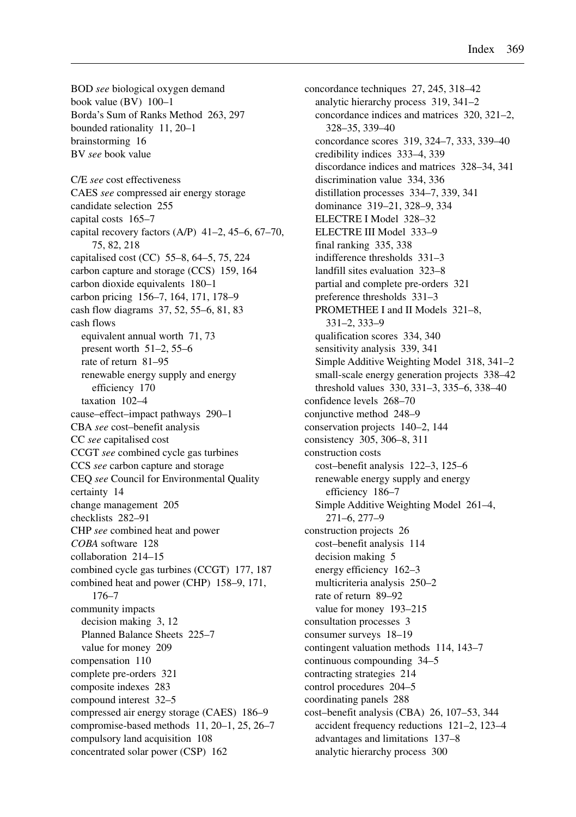BOD *see* biological oxygen demand book value (BV) 100–1 Borda's Sum of Ranks Method 263, 297 bounded rationality 11, 20–1 brainstorming 16 BV *see* book value C/E *see* cost effectiveness CAES *see* compressed air energy storage candidate selection 255 capital costs 165–7 capital recovery factors (A/P) 41–2, 45–6, 67–70, 75, 82, 218 capitalised cost (CC) 55–8, 64–5, 75, 224 carbon capture and storage (CCS) 159, 164 carbon dioxide equivalents 180–1 carbon pricing 156–7, 164, 171, 178–9 cash flow diagrams 37, 52, 55–6, 81, 83 cash flows equivalent annual worth 71, 73 present worth 51–2, 55–6 rate of return 81–95 renewable energy supply and energy efficiency 170 taxation 102–4 cause–effect–impact pathways 290–1 CBA *see* cost–benefit analysis CC *see* capitalised cost CCGT *see* combined cycle gas turbines CCS *see* carbon capture and storage CEQ *see* Council for Environmental Quality certainty 14 change management 205 checklists 282–91 CHP *see* combined heat and power *COBA* software 128 collaboration 214–15 combined cycle gas turbines (CCGT) 177, 187 combined heat and power (CHP) 158–9, 171, 176–7 community impacts decision making 3, 12 Planned Balance Sheets 225–7 value for money 209 compensation 110 complete pre-orders 321 composite indexes 283 compound interest 32–5 compressed air energy storage (CAES) 186–9 compromise-based methods 11, 20–1, 25, 26–7 compulsory land acquisition 108 concentrated solar power (CSP) 162

concordance techniques 27, 245, 318–42 analytic hierarchy process 319, 341–2 concordance indices and matrices 320, 321–2, 328–35, 339–40 concordance scores 319, 324–7, 333, 339–40 credibility indices 333–4, 339 discordance indices and matrices 328–34, 341 discrimination value 334, 336 distillation processes 334–7, 339, 341 dominance 319–21, 328–9, 334 ELECTRE I Model 328–32 ELECTRE III Model 333–9 final ranking 335, 338 indifference thresholds 331–3 landfill sites evaluation 323–8 partial and complete pre-orders 321 preference thresholds 331–3 PROMETHEE I and II Models 321–8, 331–2, 333–9 qualification scores 334, 340 sensitivity analysis 339, 341 Simple Additive Weighting Model 318, 341–2 small-scale energy generation projects 338–42 threshold values 330, 331–3, 335–6, 338–40 confidence levels 268–70 conjunctive method 248–9 conservation projects 140–2, 144 consistency 305, 306–8, 311 construction costs cost–benefit analysis 122–3, 125–6 renewable energy supply and energy efficiency 186–7 Simple Additive Weighting Model 261–4, 271–6, 277–9 construction projects 26 cost–benefit analysis 114 decision making 5 energy efficiency 162–3 multicriteria analysis 250–2 rate of return 89–92 value for money 193–215 consultation processes 3 consumer surveys 18–19 contingent valuation methods 114, 143–7 continuous compounding 34–5 contracting strategies 214 control procedures 204–5 coordinating panels 288 cost–benefit analysis (CBA) 26, 107–53, 344 accident frequency reductions 121–2, 123–4 advantages and limitations 137–8 analytic hierarchy process 300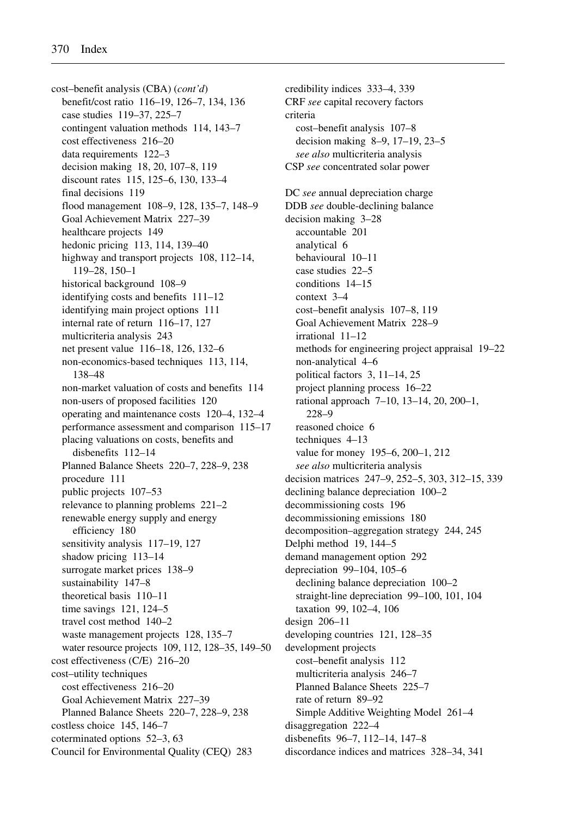cost–benefit analysis (CBA) (*cont'd*) benefit/cost ratio 116–19, 126–7, 134, 136 case studies 119–37, 225–7 contingent valuation methods 114, 143–7 cost effectiveness 216–20 data requirements 122–3 decision making 18, 20, 107–8, 119 discount rates 115, 125–6, 130, 133–4 final decisions 119 flood management 108–9, 128, 135–7, 148–9 Goal Achievement Matrix 227–39 healthcare projects 149 hedonic pricing 113, 114, 139–40 highway and transport projects 108, 112–14, 119–28, 150–1 historical background 108–9 identifying costs and benefits 111–12 identifying main project options 111 internal rate of return 116–17, 127 multicriteria analysis 243 net present value 116–18, 126, 132–6 non-economics-based techniques 113, 114, 138–48 non-market valuation of costs and benefits 114 non-users of proposed facilities 120 operating and maintenance costs 120–4, 132–4 performance assessment and comparison 115–17 placing valuations on costs, benefits and disbenefits 112–14 Planned Balance Sheets 220–7, 228–9, 238 procedure 111 public projects 107–53 relevance to planning problems 221–2 renewable energy supply and energy efficiency 180 sensitivity analysis 117–19, 127 shadow pricing 113–14 surrogate market prices 138–9 sustainability 147–8 theoretical basis 110–11 time savings 121, 124–5 travel cost method 140–2 waste management projects 128, 135–7 water resource projects 109, 112, 128–35, 149–50 cost effectiveness (C/E) 216–20 cost–utility techniques cost effectiveness 216–20 Goal Achievement Matrix 227–39 Planned Balance Sheets 220–7, 228–9, 238 costless choice 145, 146–7 coterminated options 52–3, 63 Council for Environmental Quality (CEQ) 283

credibility indices 333–4, 339 CRF *see* capital recovery factors criteria cost–benefit analysis 107–8 decision making 8–9, 17–19, 23–5 *see also* multicriteria analysis CSP *see* concentrated solar power DC *see* annual depreciation charge DDB *see* double-declining balance decision making 3–28 accountable 201 analytical 6 behavioural 10–11 case studies 22–5 conditions 14–15 context 3–4 cost–benefit analysis 107–8, 119 Goal Achievement Matrix 228–9 irrational 11–12 methods for engineering project appraisal 19–22 non-analytical 4–6 political factors 3, 11–14, 25 project planning process 16–22 rational approach 7–10, 13–14, 20, 200–1, 228–9 reasoned choice 6 techniques 4–13 value for money 195–6, 200–1, 212 *see also* multicriteria analysis decision matrices 247–9, 252–5, 303, 312–15, 339 declining balance depreciation 100–2 decommissioning costs 196 decommissioning emissions 180 decomposition–aggregation strategy 244, 245 Delphi method 19, 144–5 demand management option 292 depreciation 99–104, 105–6 declining balance depreciation 100–2 straight-line depreciation 99–100, 101, 104 taxation 99, 102–4, 106 design 206–11 developing countries 121, 128–35 development projects cost–benefit analysis 112 multicriteria analysis 246–7 Planned Balance Sheets 225–7 rate of return 89–92 Simple Additive Weighting Model 261–4 disaggregation 222–4 disbenefits 96–7, 112–14, 147–8 discordance indices and matrices 328–34, 341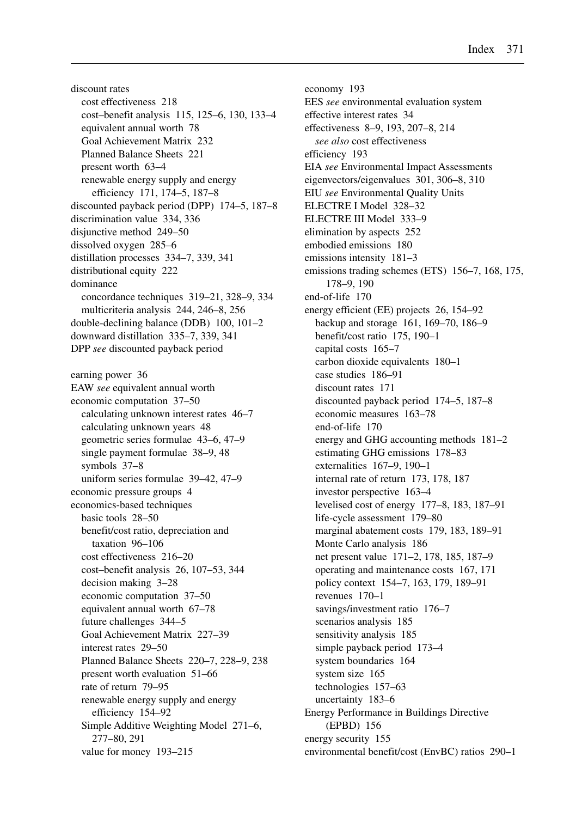discount rates cost effectiveness 218 cost–benefit analysis 115, 125–6, 130, 133–4 equivalent annual worth 78 Goal Achievement Matrix 232 Planned Balance Sheets 221 present worth 63–4 renewable energy supply and energy efficiency 171, 174–5, 187–8 discounted payback period (DPP) 174–5, 187–8 discrimination value 334, 336 disjunctive method 249–50 dissolved oxygen 285–6 distillation processes 334–7, 339, 341 distributional equity 222 dominance concordance techniques 319–21, 328–9, 334 multicriteria analysis 244, 246–8, 256 double-declining balance (DDB) 100, 101–2 downward distillation 335–7, 339, 341 DPP *see* discounted payback period earning power 36 EAW *see* equivalent annual worth economic computation 37–50 calculating unknown interest rates 46–7 calculating unknown years 48 geometric series formulae 43–6, 47–9 single payment formulae 38–9, 48 symbols 37–8 uniform series formulae 39–42, 47–9 economic pressure groups 4 economics-based techniques basic tools 28–50 benefit/cost ratio, depreciation and taxation 96–106 cost effectiveness 216–20 cost–benefit analysis 26, 107–53, 344 decision making 3–28 economic computation 37–50 equivalent annual worth 67–78 future challenges 344–5 Goal Achievement Matrix 227–39 interest rates 29–50 Planned Balance Sheets 220–7, 228–9, 238 present worth evaluation 51–66 rate of return 79–95 renewable energy supply and energy efficiency 154–92 Simple Additive Weighting Model 271–6, 277–80, 291 value for money 193–215

economy 193 EES *see* environmental evaluation system effective interest rates 34 effectiveness 8–9, 193, 207–8, 214 *see also* cost effectiveness efficiency 193 EIA *see* Environmental Impact Assessments eigenvectors/eigenvalues 301, 306–8, 310 EIU *see* Environmental Quality Units ELECTRE I Model 328–32 ELECTRE III Model 333–9 elimination by aspects 252 embodied emissions 180 emissions intensity 181–3 emissions trading schemes (ETS) 156–7, 168, 175, 178–9, 190 end-of-life 170 energy efficient (EE) projects 26, 154–92 backup and storage 161, 169–70, 186–9 benefit/cost ratio 175, 190–1 capital costs 165–7 carbon dioxide equivalents 180–1 case studies 186–91 discount rates 171 discounted payback period 174–5, 187–8 economic measures 163–78 end-of-life 170 energy and GHG accounting methods 181–2 estimating GHG emissions 178–83 externalities 167–9, 190–1 internal rate of return 173, 178, 187 investor perspective 163–4 levelised cost of energy 177–8, 183, 187–91 life-cycle assessment 179–80 marginal abatement costs 179, 183, 189–91 Monte Carlo analysis 186 net present value 171–2, 178, 185, 187–9 operating and maintenance costs 167, 171 policy context 154–7, 163, 179, 189–91 revenues 170–1 savings/investment ratio 176–7 scenarios analysis 185 sensitivity analysis 185 simple payback period 173–4 system boundaries 164 system size 165 technologies 157–63 uncertainty 183–6 Energy Performance in Buildings Directive (EPBD) 156 energy security 155 environmental benefit/cost (EnvBC) ratios 290–1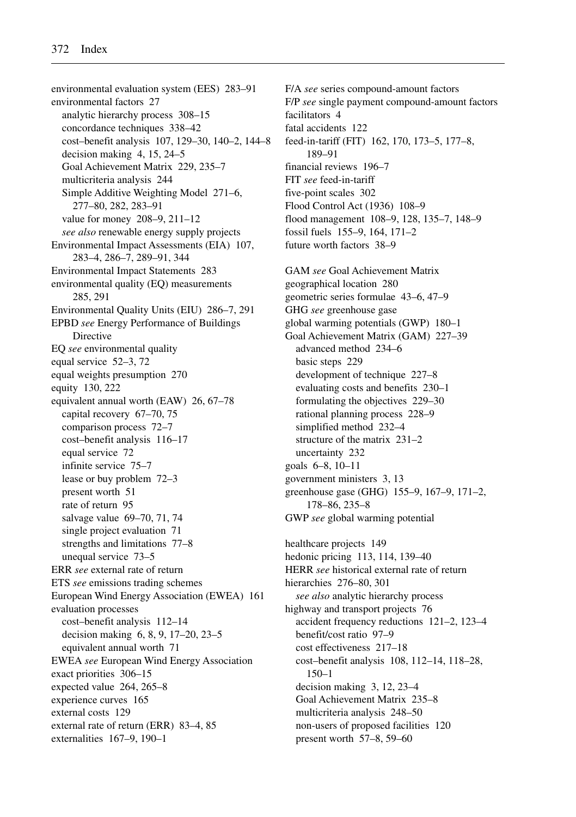environmental evaluation system (EES) 283–91 environmental factors 27 analytic hierarchy process 308–15 concordance techniques 338–42 cost–benefit analysis 107, 129–30, 140–2, 144–8 decision making 4, 15, 24–5 Goal Achievement Matrix 229, 235–7 multicriteria analysis 244 Simple Additive Weighting Model 271–6, 277–80, 282, 283–91 value for money 208–9, 211–12 *see also* renewable energy supply projects Environmental Impact Assessments (EIA) 107, 283–4, 286–7, 289–91, 344 Environmental Impact Statements 283 environmental quality (EQ) measurements 285, 291 Environmental Quality Units (EIU) 286–7, 291 EPBD *see* Energy Performance of Buildings Directive EQ *see* environmental quality equal service 52–3, 72 equal weights presumption 270 equity 130, 222 equivalent annual worth (EAW) 26, 67–78 capital recovery 67–70, 75 comparison process 72–7 cost–benefit analysis 116–17 equal service 72 infinite service 75–7 lease or buy problem 72–3 present worth 51 rate of return 95 salvage value 69–70, 71, 74 single project evaluation 71 strengths and limitations 77–8 unequal service 73–5 ERR *see* external rate of return ETS *see* emissions trading schemes European Wind Energy Association (EWEA) 161 evaluation processes cost–benefit analysis 112–14 decision making 6, 8, 9, 17–20, 23–5 equivalent annual worth 71 EWEA *see* European Wind Energy Association exact priorities 306–15 expected value 264, 265–8 experience curves 165 external costs 129 external rate of return (ERR) 83–4, 85 externalities 167–9, 190–1

F/A *see* series compound-amount factors F/P *see* single payment compound-amount factors facilitators 4 fatal accidents 122 feed-in-tariff (FIT) 162, 170, 173–5, 177–8, 189–91 financial reviews 196–7 FIT *see* feed-in-tariff five-point scales 302 Flood Control Act (1936) 108–9 flood management 108–9, 128, 135–7, 148–9 fossil fuels 155–9, 164, 171–2 future worth factors 38–9

GAM *see* Goal Achievement Matrix geographical location 280 geometric series formulae 43–6, 47–9 GHG *see* greenhouse gase global warming potentials (GWP) 180–1 Goal Achievement Matrix (GAM) 227–39 advanced method 234–6 basic steps 229 development of technique 227–8 evaluating costs and benefits 230–1 formulating the objectives 229–30 rational planning process 228–9 simplified method 232–4 structure of the matrix 231–2 uncertainty 232 goals 6–8, 10–11 government ministers 3, 13 greenhouse gase (GHG) 155–9, 167–9, 171–2, 178–86, 235–8 GWP *see* global warming potential

healthcare projects 149 hedonic pricing 113, 114, 139–40 HERR *see* historical external rate of return hierarchies 276–80, 301 *see also* analytic hierarchy process highway and transport projects 76 accident frequency reductions 121–2, 123–4 benefit/cost ratio 97–9 cost effectiveness 217–18 cost–benefit analysis 108, 112–14, 118–28, 150–1 decision making 3, 12, 23–4 Goal Achievement Matrix 235–8 multicriteria analysis 248–50 non-users of proposed facilities 120 present worth 57–8, 59–60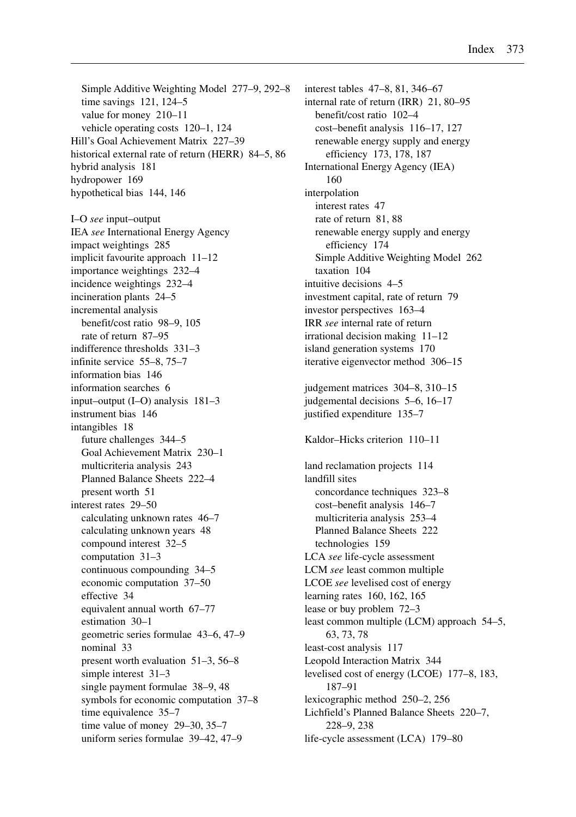Simple Additive Weighting Model 277–9, 292–8 time savings 121, 124–5 value for money 210–11 vehicle operating costs 120–1, 124 Hill's Goal Achievement Matrix 227–39 historical external rate of return (HERR) 84–5, 86 hybrid analysis 181 hydropower 169 hypothetical bias 144, 146

I–O *see* input–output IEA *see* International Energy Agency impact weightings 285 implicit favourite approach 11–12 importance weightings 232–4 incidence weightings 232–4 incineration plants 24–5 incremental analysis benefit/cost ratio 98–9, 105 rate of return 87–95 indifference thresholds 331–3 infinite service 55–8, 75–7 information bias 146 information searches 6 input–output (I–O) analysis 181–3 instrument bias 146 intangibles 18 future challenges 344–5 Goal Achievement Matrix 230–1 multicriteria analysis 243 Planned Balance Sheets 222–4 present worth 51 interest rates 29–50 calculating unknown rates 46–7 calculating unknown years 48 compound interest 32–5 computation 31–3 continuous compounding 34–5 economic computation 37–50 effective 34 equivalent annual worth 67–77 estimation 30–1 geometric series formulae 43–6, 47–9 nominal 33 present worth evaluation 51–3, 56–8 simple interest 31–3 single payment formulae 38–9, 48 symbols for economic computation 37–8 time equivalence 35–7 time value of money 29–30, 35–7 uniform series formulae 39–42, 47–9

interest tables 47–8, 81, 346–67 internal rate of return (IRR) 21, 80–95 benefit/cost ratio 102–4 cost–benefit analysis 116–17, 127 renewable energy supply and energy efficiency 173, 178, 187 International Energy Agency (IEA) 160 interpolation interest rates 47 rate of return 81, 88 renewable energy supply and energy efficiency 174 Simple Additive Weighting Model 262 taxation 104 intuitive decisions 4–5 investment capital, rate of return 79 investor perspectives 163–4 IRR *see* internal rate of return irrational decision making 11–12 island generation systems 170 iterative eigenvector method 306–15 judgement matrices 304–8, 310–15 judgemental decisions 5–6, 16–17 justified expenditure 135–7 Kaldor–Hicks criterion 110–11 land reclamation projects 114 landfill sites concordance techniques 323–8 cost–benefit analysis 146–7 multicriteria analysis 253–4 Planned Balance Sheets 222 technologies 159 LCA *see* life-cycle assessment LCM *see* least common multiple LCOE *see* levelised cost of energy learning rates 160, 162, 165 lease or buy problem 72–3 least common multiple (LCM) approach 54–5, 63, 73, 78 least-cost analysis 117 Leopold Interaction Matrix 344 levelised cost of energy (LCOE) 177–8, 183, 187–91 lexicographic method 250–2, 256 Lichfield's Planned Balance Sheets 220–7, 228–9, 238 life-cycle assessment (LCA) 179–80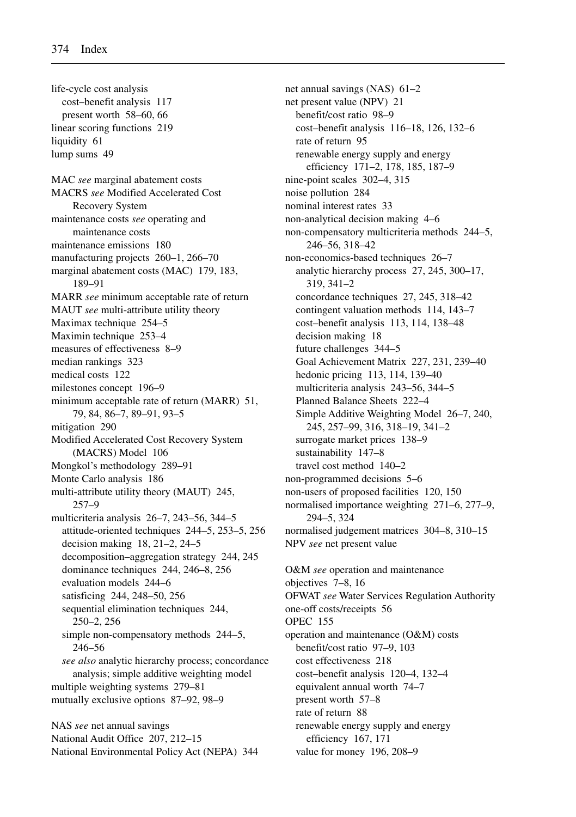life-cycle cost analysis

cost–benefit analysis 117 present worth 58–60, 66 linear scoring functions 219 liquidity 61 lump sums 49 MAC *see* marginal abatement costs MACRS *see* Modified Accelerated Cost Recovery System maintenance costs *see* operating and maintenance costs maintenance emissions 180 manufacturing projects 260–1, 266–70 marginal abatement costs (MAC) 179, 183, 189–91 MARR *see* minimum acceptable rate of return MAUT *see* multi-attribute utility theory Maximax technique 254–5 Maximin technique 253–4 measures of effectiveness 8–9 median rankings 323 medical costs 122 milestones concept 196–9 minimum acceptable rate of return (MARR) 51, 79, 84, 86–7, 89–91, 93–5 mitigation 290 Modified Accelerated Cost Recovery System (MACRS) Model 106 Mongkol's methodology 289–91 Monte Carlo analysis 186 multi-attribute utility theory (MAUT) 245, 257–9 multicriteria analysis 26–7, 243–56, 344–5 attitude-oriented techniques 244–5, 253–5, 256 decision making 18, 21–2, 24–5 decomposition–aggregation strategy 244, 245 dominance techniques 244, 246–8, 256 evaluation models 244–6 satisficing 244, 248–50, 256 sequential elimination techniques 244, 250–2, 256 simple non-compensatory methods 244–5, 246–56 *see also* analytic hierarchy process; concordance analysis; simple additive weighting model multiple weighting systems 279–81 mutually exclusive options 87–92, 98–9 NAS *see* net annual savings

National Audit Office 207, 212–15 National Environmental Policy Act (NEPA) 344 net annual savings (NAS) 61–2 net present value (NPV) 21 benefit/cost ratio 98–9 cost–benefit analysis 116–18, 126, 132–6 rate of return 95 renewable energy supply and energy efficiency 171–2, 178, 185, 187–9 nine-point scales 302–4, 315 noise pollution 284 nominal interest rates 33 non-analytical decision making 4–6 non-compensatory multicriteria methods 244–5, 246–56, 318–42 non-economics-based techniques 26–7 analytic hierarchy process 27, 245, 300–17, 319, 341–2 concordance techniques 27, 245, 318–42 contingent valuation methods 114, 143–7 cost–benefit analysis 113, 114, 138–48 decision making 18 future challenges 344–5 Goal Achievement Matrix 227, 231, 239–40 hedonic pricing 113, 114, 139–40 multicriteria analysis 243–56, 344–5 Planned Balance Sheets 222–4 Simple Additive Weighting Model 26–7, 240, 245, 257–99, 316, 318–19, 341–2 surrogate market prices 138–9 sustainability 147–8 travel cost method 140–2 non-programmed decisions 5–6 non-users of proposed facilities 120, 150 normalised importance weighting 271–6, 277–9, 294–5, 324 normalised judgement matrices 304–8, 310–15 NPV *see* net present value

O&M *see* operation and maintenance objectives 7–8, 16 OFWAT *see* Water Services Regulation Authority one-off costs/receipts 56 OPEC 155 operation and maintenance (O&M) costs benefit/cost ratio 97–9, 103 cost effectiveness 218 cost–benefit analysis 120–4, 132–4 equivalent annual worth 74–7 present worth 57–8 rate of return 88 renewable energy supply and energy efficiency 167, 171 value for money 196, 208–9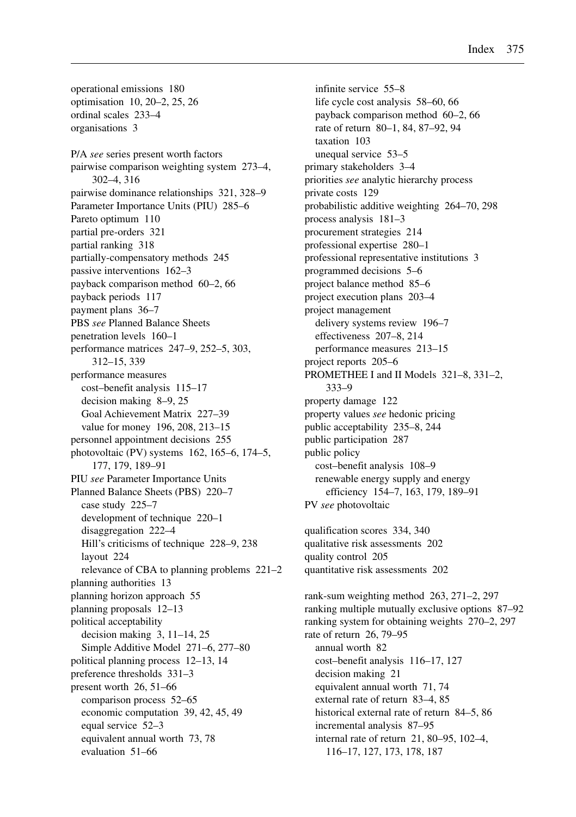operational emissions 180 optimisation 10, 20–2, 25, 26 ordinal scales 233–4 organisations 3 P/A *see* series present worth factors pairwise comparison weighting system 273–4, 302–4, 316 pairwise dominance relationships 321, 328–9 Parameter Importance Units (PIU) 285–6 Pareto optimum 110 partial pre-orders 321 partial ranking 318 partially-compensatory methods 245 passive interventions 162–3 payback comparison method 60–2, 66 payback periods 117 payment plans 36–7 PBS *see* Planned Balance Sheets penetration levels 160–1 performance matrices 247–9, 252–5, 303, 312–15, 339 performance measures cost–benefit analysis 115–17 decision making 8–9, 25 Goal Achievement Matrix 227–39 value for money 196, 208, 213–15 personnel appointment decisions 255 photovoltaic (PV) systems 162, 165–6, 174–5, 177, 179, 189–91 PIU *see* Parameter Importance Units Planned Balance Sheets (PBS) 220–7 case study 225–7 development of technique 220–1 disaggregation 222–4 Hill's criticisms of technique 228–9, 238 layout 224 relevance of CBA to planning problems 221–2 planning authorities 13 planning horizon approach 55 planning proposals 12–13 political acceptability decision making 3, 11–14, 25 Simple Additive Model 271–6, 277–80 political planning process 12–13, 14 preference thresholds 331–3 present worth 26, 51–66 comparison process 52–65 economic computation 39, 42, 45, 49 equal service 52–3 equivalent annual worth 73, 78 evaluation 51–66

infinite service 55–8 life cycle cost analysis 58–60, 66 payback comparison method 60–2, 66 rate of return 80–1, 84, 87–92, 94 taxation 103 unequal service 53–5 primary stakeholders 3–4 priorities *see* analytic hierarchy process private costs 129 probabilistic additive weighting 264–70, 298 process analysis 181–3 procurement strategies 214 professional expertise 280–1 professional representative institutions 3 programmed decisions 5–6 project balance method 85–6 project execution plans 203–4 project management delivery systems review 196–7 effectiveness 207–8, 214 performance measures 213–15 project reports 205–6 PROMETHEE I and II Models 321–8, 331–2, 333–9 property damage 122 property values *see* hedonic pricing public acceptability 235–8, 244 public participation 287 public policy cost–benefit analysis 108–9 renewable energy supply and energy efficiency 154–7, 163, 179, 189–91 PV *see* photovoltaic qualification scores 334, 340 qualitative risk assessments 202 quality control 205 quantitative risk assessments 202 rank-sum weighting method 263, 271–2, 297 ranking multiple mutually exclusive options 87–92 ranking system for obtaining weights 270–2, 297 rate of return 26, 79–95 annual worth 82 cost–benefit analysis 116–17, 127 decision making 21 equivalent annual worth 71, 74 external rate of return 83–4, 85 historical external rate of return 84–5, 86 incremental analysis 87–95 internal rate of return 21, 80–95, 102–4,

116–17, 127, 173, 178, 187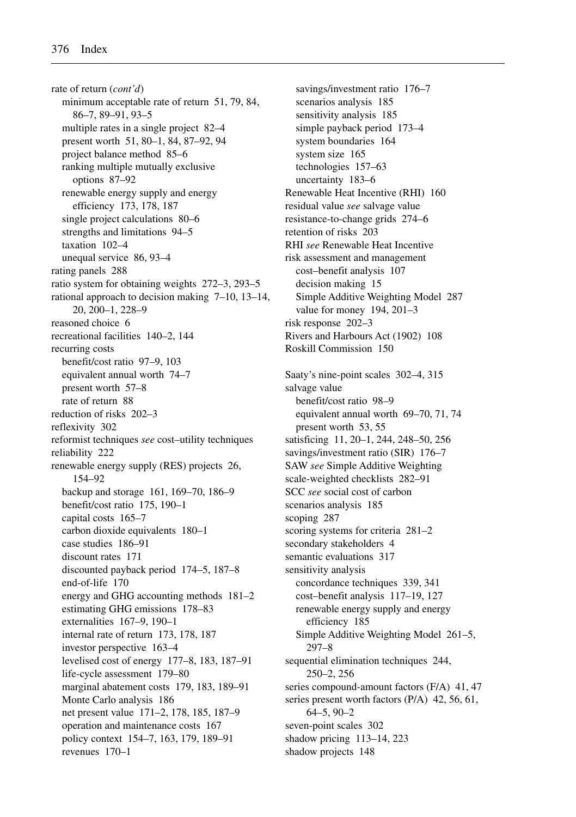rate of return (*cont'd*) minimum acceptable rate of return 51, 79, 84, 86–7, 89–91, 93–5 multiple rates in a single project 82–4 present worth 51, 80–1, 84, 87–92, 94 project balance method 85–6 ranking multiple mutually exclusive options 87–92 renewable energy supply and energy efficiency 173, 178, 187 single project calculations 80–6 strengths and limitations 94–5 taxation 102–4 unequal service 86, 93–4 rating panels 288 ratio system for obtaining weights 272–3, 293–5 rational approach to decision making 7–10, 13–14, 20, 200–1, 228–9 reasoned choice 6 recreational facilities 140–2, 144 recurring costs benefit/cost ratio 97–9, 103 equivalent annual worth 74–7 present worth 57–8 rate of return 88 reduction of risks 202–3 reflexivity 302 reformist techniques *see* cost–utility techniques reliability 222 renewable energy supply (RES) projects 26, 154–92 backup and storage 161, 169–70, 186–9 benefit/cost ratio 175, 190–1 capital costs 165–7 carbon dioxide equivalents 180–1 case studies 186–91 discount rates 171 discounted payback period 174–5, 187–8 end-of-life 170 energy and GHG accounting methods 181–2 estimating GHG emissions 178–83 externalities 167–9, 190–1 internal rate of return 173, 178, 187 investor perspective 163–4 levelised cost of energy 177–8, 183, 187–91 life-cycle assessment 179–80 marginal abatement costs 179, 183, 189–91 Monte Carlo analysis 186 net present value 171–2, 178, 185, 187–9 operation and maintenance costs 167 policy context 154–7, 163, 179, 189–91 revenues 170–1

savings/investment ratio 176–7 scenarios analysis 185 sensitivity analysis 185 simple payback period 173–4 system boundaries 164 system size 165 technologies 157–63 uncertainty 183–6 Renewable Heat Incentive (RHI) 160 residual value *see* salvage value resistance-to-change grids 274–6 retention of risks 203 RHI *see* Renewable Heat Incentive risk assessment and management cost–benefit analysis 107 decision making 15 Simple Additive Weighting Model 287 value for money 194, 201–3 risk response 202–3 Rivers and Harbours Act (1902) 108 Roskill Commission 150 Saaty's nine-point scales 302–4, 315 salvage value benefit/cost ratio 98–9 equivalent annual worth 69–70, 71, 74 present worth 53, 55 satisficing 11, 20–1, 244, 248–50, 256 savings/investment ratio (SIR) 176-7 SAW *see* Simple Additive Weighting scale-weighted checklists 282–91 SCC *see* social cost of carbon scenarios analysis 185 scoping 287 scoring systems for criteria 281–2 secondary stakeholders 4 semantic evaluations 317 sensitivity analysis concordance techniques 339, 341 cost–benefit analysis 117–19, 127 renewable energy supply and energy efficiency 185 Simple Additive Weighting Model 261–5, 297–8 sequential elimination techniques 244, 250–2, 256 series compound-amount factors (F/A) 41, 47 series present worth factors (P/A) 42, 56, 61, 64–5, 90–2 seven-point scales 302 shadow pricing 113–14, 223 shadow projects 148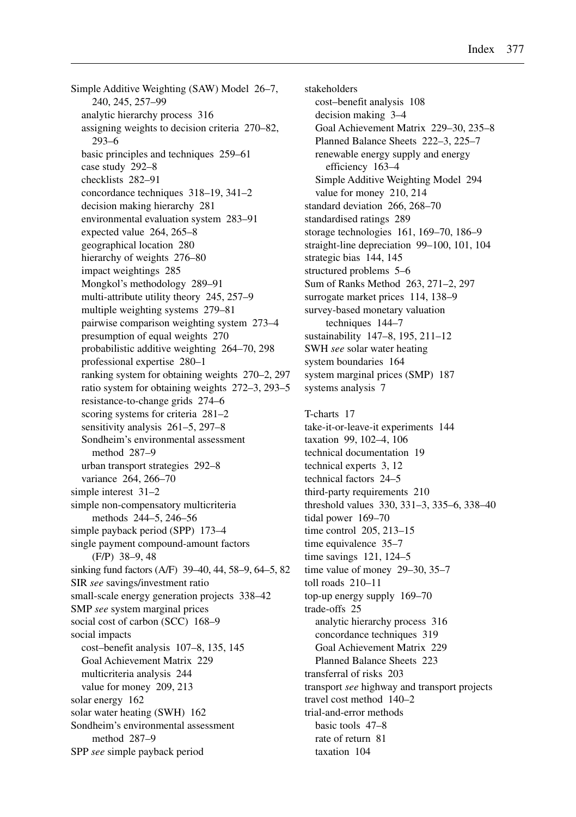Simple Additive Weighting (SAW) Model 26–7, 240, 245, 257–99 analytic hierarchy process 316 assigning weights to decision criteria 270–82, 293–6 basic principles and techniques 259–61 case study 292–8 checklists 282–91 concordance techniques 318–19, 341–2 decision making hierarchy 281 environmental evaluation system 283–91 expected value 264, 265–8 geographical location 280 hierarchy of weights 276–80 impact weightings 285 Mongkol's methodology 289–91 multi-attribute utility theory 245, 257–9 multiple weighting systems 279–81 pairwise comparison weighting system 273–4 presumption of equal weights 270 probabilistic additive weighting 264–70, 298 professional expertise 280–1 ranking system for obtaining weights 270–2, 297 ratio system for obtaining weights 272–3, 293–5 resistance-to-change grids 274–6 scoring systems for criteria 281–2 sensitivity analysis 261–5, 297–8 Sondheim's environmental assessment method 287–9 urban transport strategies 292–8 variance 264, 266–70 simple interest 31–2 simple non-compensatory multicriteria methods 244–5, 246–56 simple payback period (SPP) 173–4 single payment compound-amount factors (F/P) 38–9, 48 sinking fund factors (A/F) 39–40, 44, 58–9, 64–5, 82 SIR *see* savings/investment ratio small-scale energy generation projects 338–42 SMP *see* system marginal prices social cost of carbon (SCC) 168–9 social impacts cost–benefit analysis 107–8, 135, 145 Goal Achievement Matrix 229 multicriteria analysis 244 value for money 209, 213 solar energy 162 solar water heating (SWH) 162 Sondheim's environmental assessment method 287–9 SPP *see* simple payback period

stakeholders cost–benefit analysis 108 decision making 3–4 Goal Achievement Matrix 229–30, 235–8 Planned Balance Sheets 222–3, 225–7 renewable energy supply and energy efficiency 163–4 Simple Additive Weighting Model 294 value for money 210, 214 standard deviation 266, 268–70 standardised ratings 289 storage technologies 161, 169–70, 186–9 straight-line depreciation 99–100, 101, 104 strategic bias 144, 145 structured problems 5–6 Sum of Ranks Method 263, 271–2, 297 surrogate market prices 114, 138–9 survey-based monetary valuation techniques 144–7 sustainability 147–8, 195, 211–12 SWH *see* solar water heating system boundaries 164 system marginal prices (SMP) 187 systems analysis 7 T-charts 17 take-it-or-leave-it experiments 144 taxation 99, 102–4, 106 technical documentation 19 technical experts 3, 12 technical factors 24–5 third-party requirements 210 threshold values 330, 331–3, 335–6, 338–40 tidal power 169–70 time control 205, 213–15 time equivalence 35–7 time savings 121, 124–5 time value of money 29–30, 35–7 toll roads 210–11 top-up energy supply 169–70 trade-offs 25 analytic hierarchy process 316 concordance techniques 319 Goal Achievement Matrix 229 Planned Balance Sheets 223 transferral of risks 203 transport *see* highway and transport projects

travel cost method 140–2 trial-and-error methods basic tools 47–8 rate of return 81 taxation 104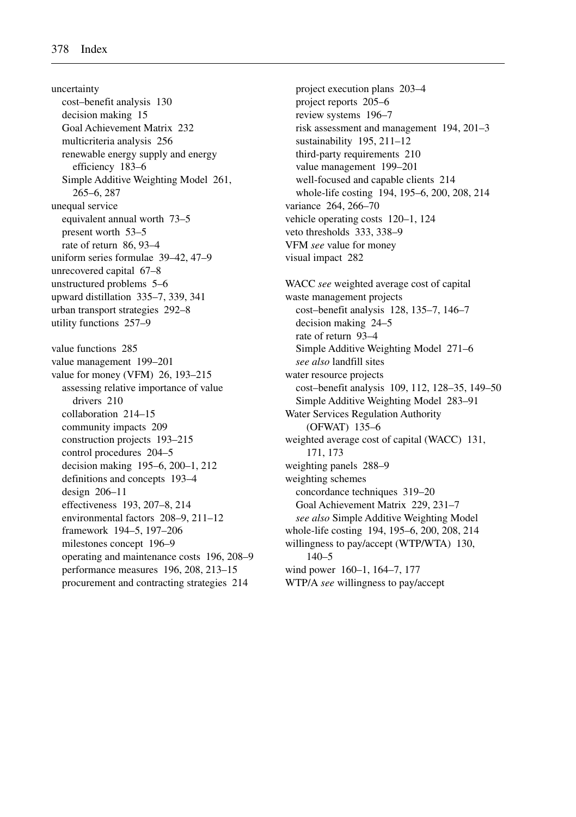uncertainty cost–benefit analysis 130 decision making 15 Goal Achievement Matrix 232 multicriteria analysis 256 renewable energy supply and energy efficiency 183–6 Simple Additive Weighting Model 261, 265–6, 287 unequal service equivalent annual worth 73–5 present worth 53–5 rate of return 86, 93–4 uniform series formulae 39–42, 47–9 unrecovered capital 67–8 unstructured problems 5–6 upward distillation 335–7, 339, 341 urban transport strategies 292–8 utility functions 257–9 value functions 285 value management 199–201 value for money (VFM) 26, 193–215 assessing relative importance of value drivers 210 collaboration 214–15 community impacts 209 construction projects 193–215 control procedures 204–5 decision making 195–6, 200–1, 212 definitions and concepts 193–4 design 206–11 effectiveness 193, 207–8, 214 environmental factors 208–9, 211–12 framework 194–5, 197–206 milestones concept 196–9 operating and maintenance costs 196, 208–9 performance measures 196, 208, 213–15 procurement and contracting strategies 214

project execution plans 203–4 project reports 205–6 review systems 196–7 risk assessment and management 194, 201–3 sustainability 195, 211–12 third-party requirements 210 value management 199–201 well-focused and capable clients 214 whole-life costing 194, 195–6, 200, 208, 214 variance 264, 266–70 vehicle operating costs 120–1, 124 veto thresholds 333, 338–9 VFM *see* value for money visual impact 282

WACC *see* weighted average cost of capital waste management projects cost–benefit analysis 128, 135–7, 146–7 decision making 24–5 rate of return 93–4 Simple Additive Weighting Model 271–6 *see also* landfill sites water resource projects cost–benefit analysis 109, 112, 128–35, 149–50 Simple Additive Weighting Model 283–91 Water Services Regulation Authority (OFWAT) 135–6 weighted average cost of capital (WACC) 131, 171, 173 weighting panels 288–9 weighting schemes concordance techniques 319–20 Goal Achievement Matrix 229, 231–7 *see also* Simple Additive Weighting Model whole-life costing 194, 195–6, 200, 208, 214 willingness to pay/accept (WTP/WTA) 130, 140–5 wind power 160–1, 164–7, 177 WTP/A *see* willingness to pay/accept